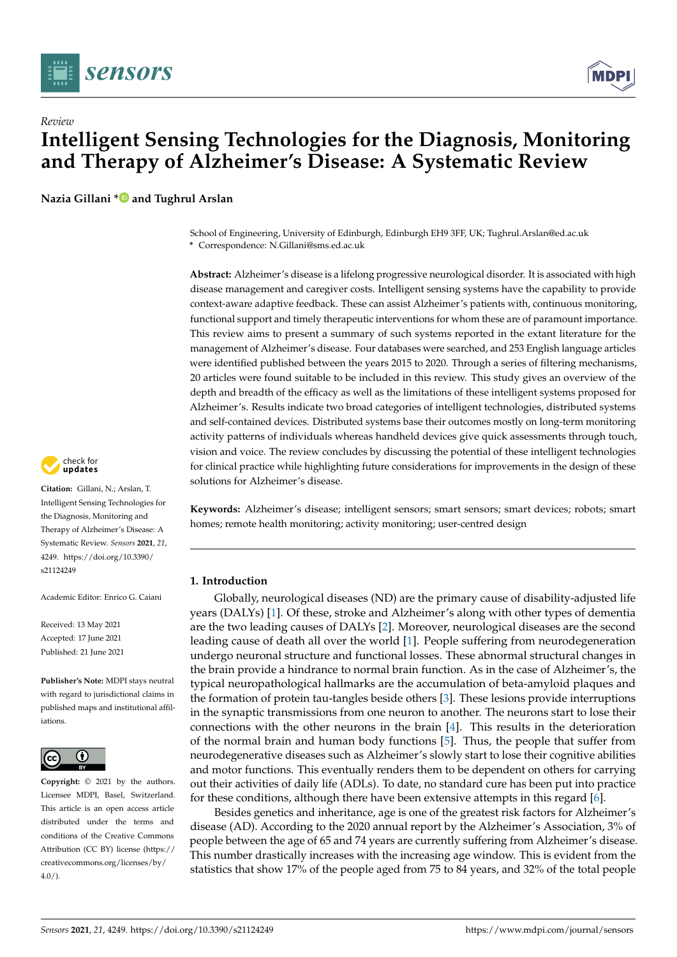



# *Review* **Intelligent Sensing Technologies for the Diagnosis, Monitoring and Therapy of Alzheimer's Disease: A Systematic Review**

**Nazia Gillani [\\*](https://orcid.org/0000-0001-9136-5918) and Tughrul Arslan**

School of Engineering, University of Edinburgh, Edinburgh EH9 3FF, UK; Tughrul.Arslan@ed.ac.uk

**\*** Correspondence: N.Gillani@sms.ed.ac.uk

**Abstract:** Alzheimer's disease is a lifelong progressive neurological disorder. It is associated with high disease management and caregiver costs. Intelligent sensing systems have the capability to provide context-aware adaptive feedback. These can assist Alzheimer's patients with, continuous monitoring, functional support and timely therapeutic interventions for whom these are of paramount importance. This review aims to present a summary of such systems reported in the extant literature for the management of Alzheimer's disease. Four databases were searched, and 253 English language articles were identified published between the years 2015 to 2020. Through a series of filtering mechanisms, 20 articles were found suitable to be included in this review. This study gives an overview of the depth and breadth of the efficacy as well as the limitations of these intelligent systems proposed for Alzheimer's. Results indicate two broad categories of intelligent technologies, distributed systems and self-contained devices. Distributed systems base their outcomes mostly on long-term monitoring activity patterns of individuals whereas handheld devices give quick assessments through touch, vision and voice. The review concludes by discussing the potential of these intelligent technologies for clinical practice while highlighting future considerations for improvements in the design of these solutions for Alzheimer's disease.

**Keywords:** Alzheimer's disease; intelligent sensors; smart sensors; smart devices; robots; smart homes; remote health monitoring; activity monitoring; user-centred design

# **1. Introduction**

Globally, neurological diseases (ND) are the primary cause of disability-adjusted life years (DALYs) [\[1\]](#page-24-0). Of these, stroke and Alzheimer's along with other types of dementia are the two leading causes of DALYs [\[2\]](#page-24-1). Moreover, neurological diseases are the second leading cause of death all over the world [\[1\]](#page-24-0). People suffering from neurodegeneration undergo neuronal structure and functional losses. These abnormal structural changes in the brain provide a hindrance to normal brain function. As in the case of Alzheimer's, the typical neuropathological hallmarks are the accumulation of beta-amyloid plaques and the formation of protein tau-tangles beside others [\[3\]](#page-24-2). These lesions provide interruptions in the synaptic transmissions from one neuron to another. The neurons start to lose their connections with the other neurons in the brain [\[4\]](#page-24-3). This results in the deterioration of the normal brain and human body functions [\[5\]](#page-24-4). Thus, the people that suffer from neurodegenerative diseases such as Alzheimer's slowly start to lose their cognitive abilities and motor functions. This eventually renders them to be dependent on others for carrying out their activities of daily life (ADLs). To date, no standard cure has been put into practice for these conditions, although there have been extensive attempts in this regard [\[6\]](#page-24-5).

Besides genetics and inheritance, age is one of the greatest risk factors for Alzheimer's disease (AD). According to the 2020 annual report by the Alzheimer's Association, 3% of people between the age of 65 and 74 years are currently suffering from Alzheimer's disease. This number drastically increases with the increasing age window. This is evident from the statistics that show 17% of the people aged from 75 to 84 years, and 32% of the total people



**Citation:** Gillani, N.; Arslan, T. Intelligent Sensing Technologies for the Diagnosis, Monitoring and Therapy of Alzheimer's Disease: A Systematic Review. *Sensors* **2021**, *21*, 4249. [https://doi.org/10.3390/](https://doi.org/10.3390/s21124249) [s21124249](https://doi.org/10.3390/s21124249)

Academic Editor: Enrico G. Caiani

Received: 13 May 2021 Accepted: 17 June 2021 Published: 21 June 2021

**Publisher's Note:** MDPI stays neutral with regard to jurisdictional claims in published maps and institutional affiliations.



**Copyright:** © 2021 by the authors. Licensee MDPI, Basel, Switzerland. This article is an open access article distributed under the terms and conditions of the Creative Commons Attribution (CC BY) license (https:/[/](https://creativecommons.org/licenses/by/4.0/) [creativecommons.org/licenses/by/](https://creativecommons.org/licenses/by/4.0/)  $4.0/$ ).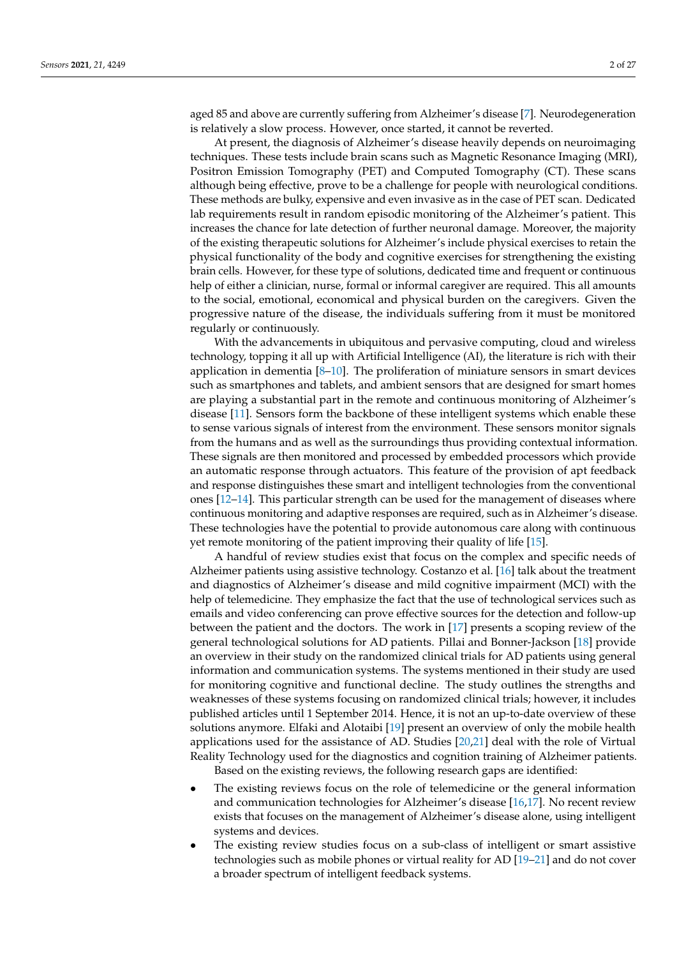aged 85 and above are currently suffering from Alzheimer's disease [\[7\]](#page-24-6). Neurodegeneration is relatively a slow process. However, once started, it cannot be reverted.

At present, the diagnosis of Alzheimer's disease heavily depends on neuroimaging techniques. These tests include brain scans such as Magnetic Resonance Imaging (MRI), Positron Emission Tomography (PET) and Computed Tomography (CT). These scans although being effective, prove to be a challenge for people with neurological conditions. These methods are bulky, expensive and even invasive as in the case of PET scan. Dedicated lab requirements result in random episodic monitoring of the Alzheimer's patient. This increases the chance for late detection of further neuronal damage. Moreover, the majority of the existing therapeutic solutions for Alzheimer's include physical exercises to retain the physical functionality of the body and cognitive exercises for strengthening the existing brain cells. However, for these type of solutions, dedicated time and frequent or continuous help of either a clinician, nurse, formal or informal caregiver are required. This all amounts to the social, emotional, economical and physical burden on the caregivers. Given the progressive nature of the disease, the individuals suffering from it must be monitored regularly or continuously.

With the advancements in ubiquitous and pervasive computing, cloud and wireless technology, topping it all up with Artificial Intelligence (AI), the literature is rich with their application in dementia  $[8-10]$  $[8-10]$ . The proliferation of miniature sensors in smart devices such as smartphones and tablets, and ambient sensors that are designed for smart homes are playing a substantial part in the remote and continuous monitoring of Alzheimer's disease [\[11\]](#page-24-9). Sensors form the backbone of these intelligent systems which enable these to sense various signals of interest from the environment. These sensors monitor signals from the humans and as well as the surroundings thus providing contextual information. These signals are then monitored and processed by embedded processors which provide an automatic response through actuators. This feature of the provision of apt feedback and response distinguishes these smart and intelligent technologies from the conventional ones [\[12](#page-24-10)[–14\]](#page-24-11). This particular strength can be used for the management of diseases where continuous monitoring and adaptive responses are required, such as in Alzheimer's disease. These technologies have the potential to provide autonomous care along with continuous yet remote monitoring of the patient improving their quality of life [\[15\]](#page-24-12).

A handful of review studies exist that focus on the complex and specific needs of Alzheimer patients using assistive technology. Costanzo et al. [\[16\]](#page-24-13) talk about the treatment and diagnostics of Alzheimer's disease and mild cognitive impairment (MCI) with the help of telemedicine. They emphasize the fact that the use of technological services such as emails and video conferencing can prove effective sources for the detection and follow-up between the patient and the doctors. The work in [\[17\]](#page-24-14) presents a scoping review of the general technological solutions for AD patients. Pillai and Bonner-Jackson [\[18\]](#page-24-15) provide an overview in their study on the randomized clinical trials for AD patients using general information and communication systems. The systems mentioned in their study are used for monitoring cognitive and functional decline. The study outlines the strengths and weaknesses of these systems focusing on randomized clinical trials; however, it includes published articles until 1 September 2014. Hence, it is not an up-to-date overview of these solutions anymore. Elfaki and Alotaibi [\[19\]](#page-24-16) present an overview of only the mobile health applications used for the assistance of AD. Studies [\[20,](#page-24-17)[21\]](#page-24-18) deal with the role of Virtual Reality Technology used for the diagnostics and cognition training of Alzheimer patients.

Based on the existing reviews, the following research gaps are identified:

- The existing reviews focus on the role of telemedicine or the general information and communication technologies for Alzheimer's disease [\[16,](#page-24-13)[17\]](#page-24-14). No recent review exists that focuses on the management of Alzheimer's disease alone, using intelligent systems and devices.
- The existing review studies focus on a sub-class of intelligent or smart assistive technologies such as mobile phones or virtual reality for AD [\[19](#page-24-16)[–21\]](#page-24-18) and do not cover a broader spectrum of intelligent feedback systems.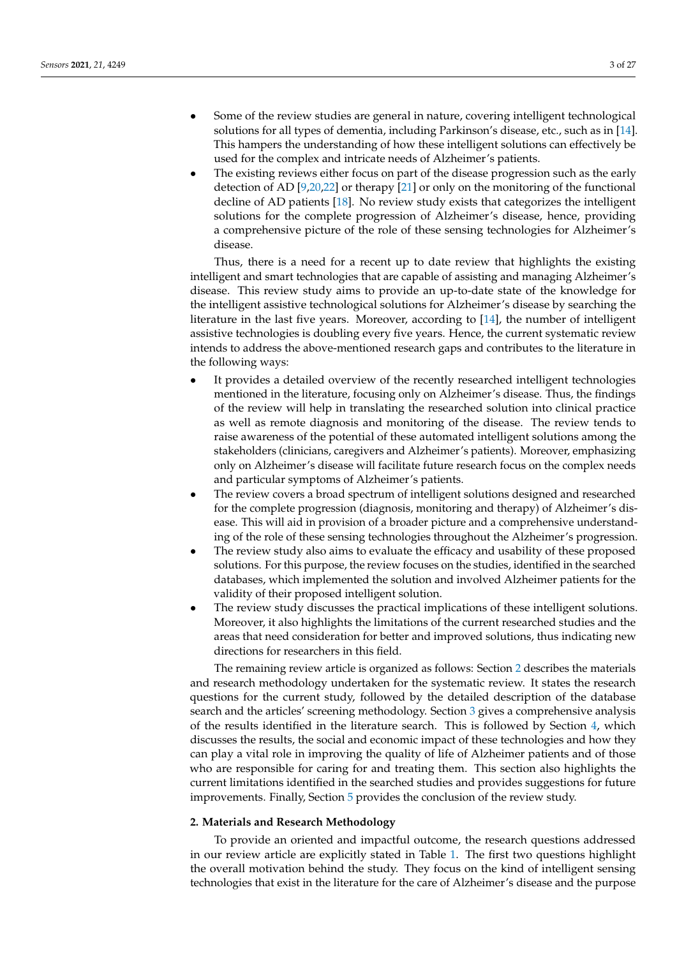- Some of the review studies are general in nature, covering intelligent technological solutions for all types of dementia, including Parkinson's disease, etc., such as in [\[14\]](#page-24-11). This hampers the understanding of how these intelligent solutions can effectively be used for the complex and intricate needs of Alzheimer's patients.
- The existing reviews either focus on part of the disease progression such as the early detection of AD [\[9,](#page-24-19)[20,](#page-24-17)[22\]](#page-24-20) or therapy [\[21\]](#page-24-18) or only on the monitoring of the functional decline of AD patients [\[18\]](#page-24-15). No review study exists that categorizes the intelligent solutions for the complete progression of Alzheimer's disease, hence, providing a comprehensive picture of the role of these sensing technologies for Alzheimer's disease.

Thus, there is a need for a recent up to date review that highlights the existing intelligent and smart technologies that are capable of assisting and managing Alzheimer's disease. This review study aims to provide an up-to-date state of the knowledge for the intelligent assistive technological solutions for Alzheimer's disease by searching the literature in the last five years. Moreover, according to [\[14\]](#page-24-11), the number of intelligent assistive technologies is doubling every five years. Hence, the current systematic review intends to address the above-mentioned research gaps and contributes to the literature in the following ways:

- It provides a detailed overview of the recently researched intelligent technologies mentioned in the literature, focusing only on Alzheimer's disease. Thus, the findings of the review will help in translating the researched solution into clinical practice as well as remote diagnosis and monitoring of the disease. The review tends to raise awareness of the potential of these automated intelligent solutions among the stakeholders (clinicians, caregivers and Alzheimer's patients). Moreover, emphasizing only on Alzheimer's disease will facilitate future research focus on the complex needs and particular symptoms of Alzheimer's patients.
- The review covers a broad spectrum of intelligent solutions designed and researched for the complete progression (diagnosis, monitoring and therapy) of Alzheimer's disease. This will aid in provision of a broader picture and a comprehensive understanding of the role of these sensing technologies throughout the Alzheimer's progression.
- The review study also aims to evaluate the efficacy and usability of these proposed solutions. For this purpose, the review focuses on the studies, identified in the searched databases, which implemented the solution and involved Alzheimer patients for the validity of their proposed intelligent solution.
- The review study discusses the practical implications of these intelligent solutions. Moreover, it also highlights the limitations of the current researched studies and the areas that need consideration for better and improved solutions, thus indicating new directions for researchers in this field.

The remaining review article is organized as follows: Section [2](#page-2-0) describes the materials and research methodology undertaken for the systematic review. It states the research questions for the current study, followed by the detailed description of the database search and the articles' screening methodology. Section [3](#page-4-0) gives a comprehensive analysis of the results identified in the literature search. This is followed by Section [4,](#page-18-0) which discusses the results, the social and economic impact of these technologies and how they can play a vital role in improving the quality of life of Alzheimer patients and of those who are responsible for caring for and treating them. This section also highlights the current limitations identified in the searched studies and provides suggestions for future improvements. Finally, Section [5](#page-23-0) provides the conclusion of the review study.

#### <span id="page-2-0"></span>**2. Materials and Research Methodology**

To provide an oriented and impactful outcome, the research questions addressed in our review article are explicitly stated in Table [1.](#page-3-0) The first two questions highlight the overall motivation behind the study. They focus on the kind of intelligent sensing technologies that exist in the literature for the care of Alzheimer's disease and the purpose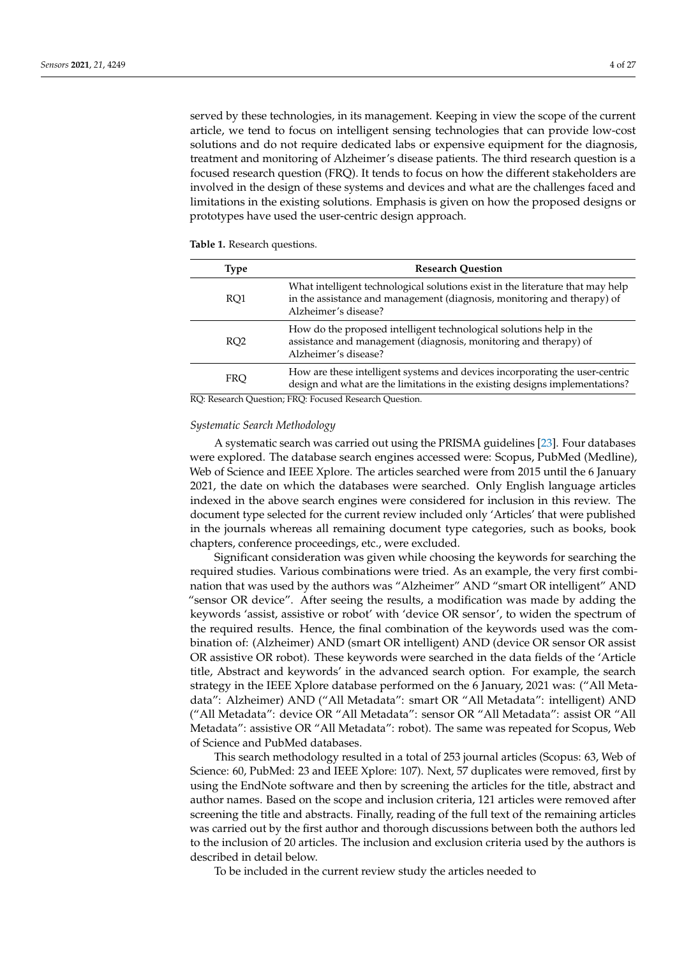served by these technologies, in its management. Keeping in view the scope of the current article, we tend to focus on intelligent sensing technologies that can provide low-cost solutions and do not require dedicated labs or expensive equipment for the diagnosis, treatment and monitoring of Alzheimer's disease patients. The third research question is a focused research question (FRQ). It tends to focus on how the different stakeholders are involved in the design of these systems and devices and what are the challenges faced and limitations in the existing solutions. Emphasis is given on how the proposed designs or prototypes have used the user-centric design approach.

| Type            | <b>Research Question</b>                                                                                                                                                          |
|-----------------|-----------------------------------------------------------------------------------------------------------------------------------------------------------------------------------|
| RO <sub>1</sub> | What intelligent technological solutions exist in the literature that may help<br>in the assistance and management (diagnosis, monitoring and therapy) of<br>Alzheimer's disease? |
| RO <sub>2</sub> | How do the proposed intelligent technological solutions help in the<br>assistance and management (diagnosis, monitoring and therapy) of<br>Alzheimer's disease?                   |
| <b>FRO</b>      | How are these intelligent systems and devices incorporating the user-centric<br>design and what are the limitations in the existing designs implementations?                      |
|                 | RO Research Question: ERO, Equipped Research Question                                                                                                                             |

<span id="page-3-0"></span>**Table 1.** Research questions.

RQ: Research Question; FRQ: Focused Research Question.

#### *Systematic Search Methodology*

A systematic search was carried out using the PRISMA guidelines [\[23\]](#page-24-21). Four databases were explored. The database search engines accessed were: Scopus, PubMed (Medline), Web of Science and IEEE Xplore. The articles searched were from 2015 until the 6 January 2021, the date on which the databases were searched. Only English language articles indexed in the above search engines were considered for inclusion in this review. The document type selected for the current review included only 'Articles' that were published in the journals whereas all remaining document type categories, such as books, book chapters, conference proceedings, etc., were excluded.

Significant consideration was given while choosing the keywords for searching the required studies. Various combinations were tried. As an example, the very first combination that was used by the authors was "Alzheimer" AND "smart OR intelligent" AND "sensor OR device". After seeing the results, a modification was made by adding the keywords 'assist, assistive or robot' with 'device OR sensor', to widen the spectrum of the required results. Hence, the final combination of the keywords used was the combination of: (Alzheimer) AND (smart OR intelligent) AND (device OR sensor OR assist OR assistive OR robot). These keywords were searched in the data fields of the 'Article title, Abstract and keywords' in the advanced search option. For example, the search strategy in the IEEE Xplore database performed on the 6 January, 2021 was: ("All Metadata": Alzheimer) AND ("All Metadata": smart OR "All Metadata": intelligent) AND ("All Metadata": device OR "All Metadata": sensor OR "All Metadata": assist OR "All Metadata": assistive OR "All Metadata": robot). The same was repeated for Scopus, Web of Science and PubMed databases.

This search methodology resulted in a total of 253 journal articles (Scopus: 63, Web of Science: 60, PubMed: 23 and IEEE Xplore: 107). Next, 57 duplicates were removed, first by using the EndNote software and then by screening the articles for the title, abstract and author names. Based on the scope and inclusion criteria, 121 articles were removed after screening the title and abstracts. Finally, reading of the full text of the remaining articles was carried out by the first author and thorough discussions between both the authors led to the inclusion of 20 articles. The inclusion and exclusion criteria used by the authors is described in detail below.

To be included in the current review study the articles needed to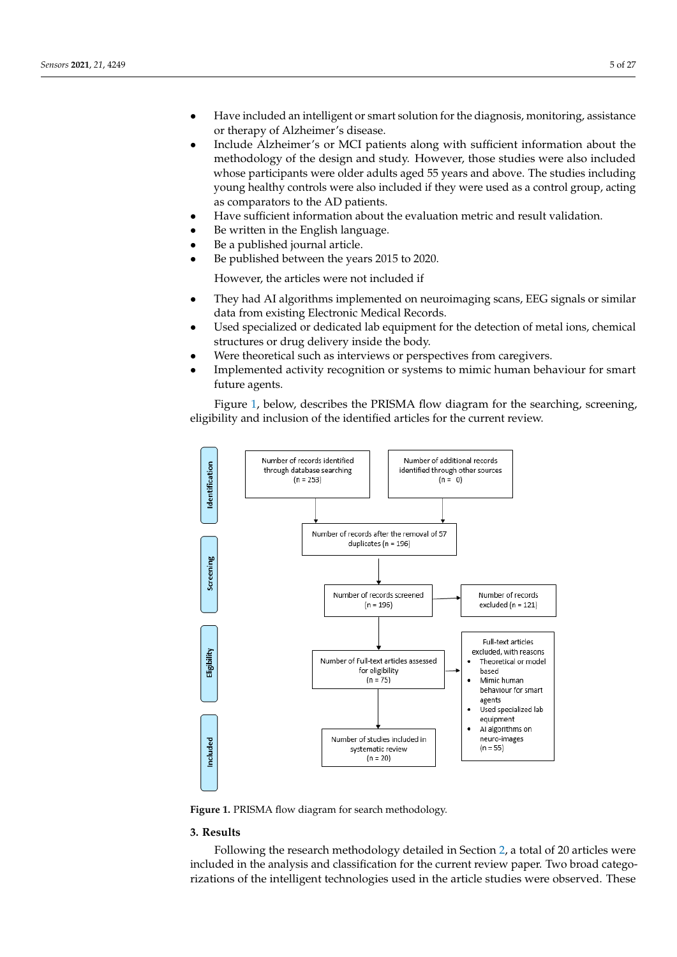- $\bullet$  Have included an intelligent or smart solution for the diagnosis, monitoring, assistance or therapy of Alzheimer's disease.
- Include Alzheimer's or MCI patients along with sufficient information about the methodology of the design and study. However, those studies were also included whose participants were older adults aged 55 years and above. The studies including young healthy controls were also included if they were used as a control group, acting as comparators to the AD patients.
	- Have sufficient information about the evaluation metric and result validation.
- Be written in the English language.
- Be a published journal article.
- Be published between the years 2015 to 2020.

However, the articles were not included if

- They had AI algorithms implemented on neuroimaging scans, EEG signals or similar data from existing Electronic Medical Records. • They had AI algorithms implemented on neuroimaging scans, EEG signals or similar
- Used specialized or dedicated lab equipment for the detection of metal ions, chemical executive or drug delivery inside the body.
- Were theoretical such as interviews or perspectives from caregivers.
- Implemented activity recognition or systems to mimic human behaviour for smart future agents. future agents.  $\epsilon_{\text{turb}}$  recognition or systems to mimic human behaviour for small  $\epsilon_{\text{turb}}$

Figure [1,](#page-4-1) below, describes the PRISMA flow diagram for the searching, screening, Figure 1, below, describes the PRISMA flow diagram for the searching, screening eligibility and inclusion of the identified articles for the current review. eligibility and inclusion of the identified articles for the current review.

<span id="page-4-1"></span>

Figure 1. PRISMA flow diagram for search methodology.

# <span id="page-4-0"></span>**3. Results**

Following the research methodology detailed in Section [2,](#page-2-0) a total of 20 articles were included in the analysis and classification for the current review paper. Two broad categorizations of the intelligent technologies used in the article studies were observed. These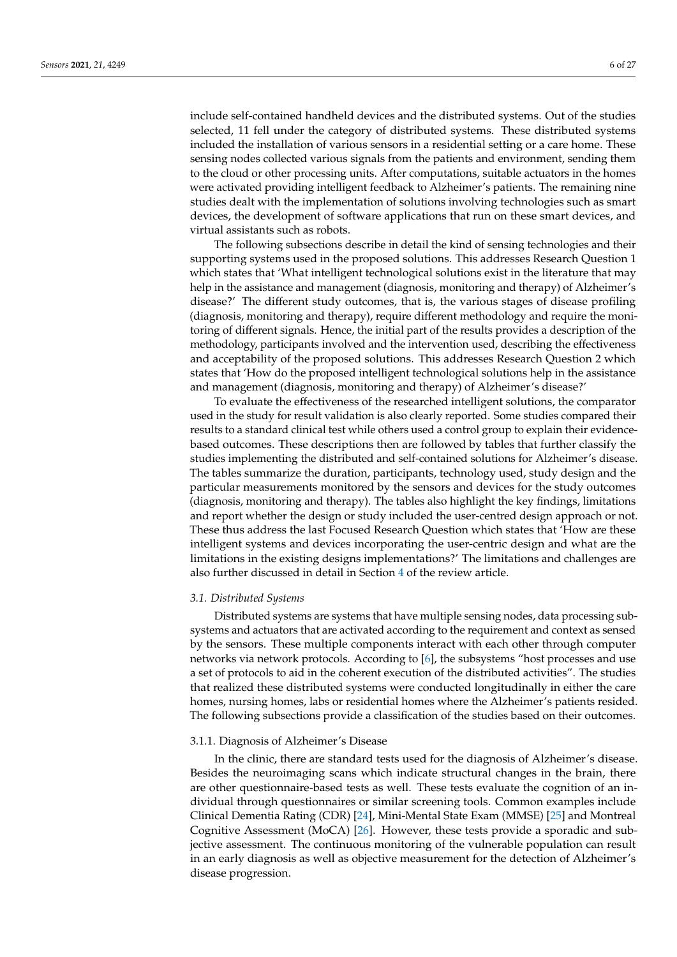include self-contained handheld devices and the distributed systems. Out of the studies selected, 11 fell under the category of distributed systems. These distributed systems included the installation of various sensors in a residential setting or a care home. These sensing nodes collected various signals from the patients and environment, sending them to the cloud or other processing units. After computations, suitable actuators in the homes were activated providing intelligent feedback to Alzheimer's patients. The remaining nine studies dealt with the implementation of solutions involving technologies such as smart devices, the development of software applications that run on these smart devices, and virtual assistants such as robots.

The following subsections describe in detail the kind of sensing technologies and their supporting systems used in the proposed solutions. This addresses Research Question 1 which states that 'What intelligent technological solutions exist in the literature that may help in the assistance and management (diagnosis, monitoring and therapy) of Alzheimer's disease?' The different study outcomes, that is, the various stages of disease profiling (diagnosis, monitoring and therapy), require different methodology and require the monitoring of different signals. Hence, the initial part of the results provides a description of the methodology, participants involved and the intervention used, describing the effectiveness and acceptability of the proposed solutions. This addresses Research Question 2 which states that 'How do the proposed intelligent technological solutions help in the assistance and management (diagnosis, monitoring and therapy) of Alzheimer's disease?'

To evaluate the effectiveness of the researched intelligent solutions, the comparator used in the study for result validation is also clearly reported. Some studies compared their results to a standard clinical test while others used a control group to explain their evidencebased outcomes. These descriptions then are followed by tables that further classify the studies implementing the distributed and self-contained solutions for Alzheimer's disease. The tables summarize the duration, participants, technology used, study design and the particular measurements monitored by the sensors and devices for the study outcomes (diagnosis, monitoring and therapy). The tables also highlight the key findings, limitations and report whether the design or study included the user-centred design approach or not. These thus address the last Focused Research Question which states that 'How are these intelligent systems and devices incorporating the user-centric design and what are the limitations in the existing designs implementations?' The limitations and challenges are also further discussed in detail in Section [4](#page-18-0) of the review article.

# *3.1. Distributed Systems*

Distributed systems are systems that have multiple sensing nodes, data processing subsystems and actuators that are activated according to the requirement and context as sensed by the sensors. These multiple components interact with each other through computer networks via network protocols. According to [\[6\]](#page-24-5), the subsystems "host processes and use a set of protocols to aid in the coherent execution of the distributed activities". The studies that realized these distributed systems were conducted longitudinally in either the care homes, nursing homes, labs or residential homes where the Alzheimer's patients resided. The following subsections provide a classification of the studies based on their outcomes.

#### 3.1.1. Diagnosis of Alzheimer's Disease

In the clinic, there are standard tests used for the diagnosis of Alzheimer's disease. Besides the neuroimaging scans which indicate structural changes in the brain, there are other questionnaire-based tests as well. These tests evaluate the cognition of an individual through questionnaires or similar screening tools. Common examples include Clinical Dementia Rating (CDR) [\[24\]](#page-24-22), Mini-Mental State Exam (MMSE) [\[25\]](#page-24-23) and Montreal Cognitive Assessment (MoCA) [\[26\]](#page-24-24). However, these tests provide a sporadic and subjective assessment. The continuous monitoring of the vulnerable population can result in an early diagnosis as well as objective measurement for the detection of Alzheimer's disease progression.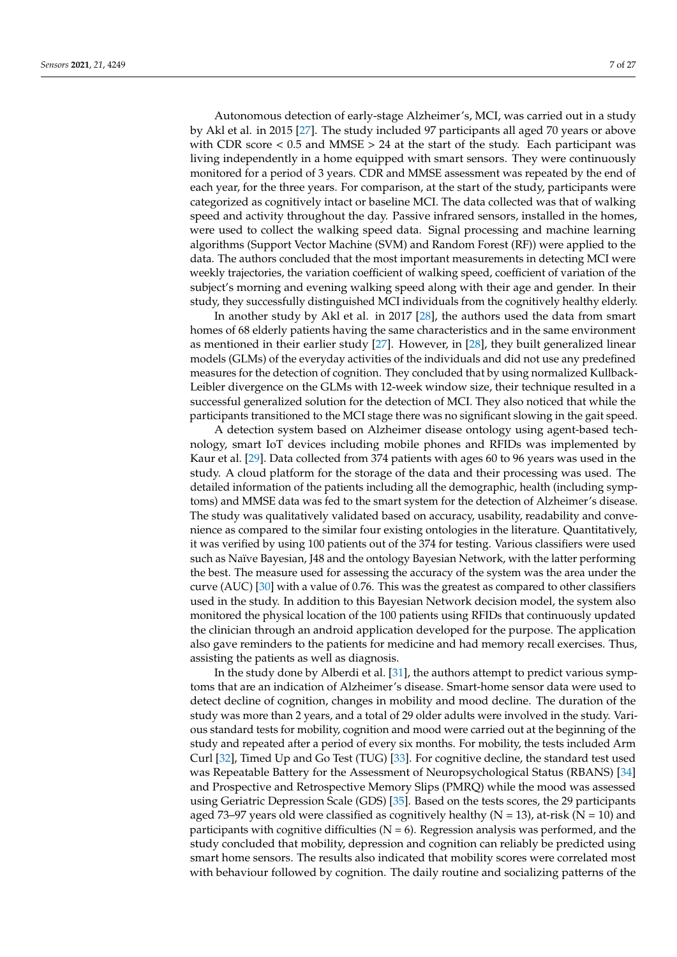Autonomous detection of early-stage Alzheimer's, MCI, was carried out in a study by Akl et al. in 2015 [\[27\]](#page-24-25). The study included 97 participants all aged 70 years or above with CDR score  $< 0.5$  and MMSE  $> 24$  at the start of the study. Each participant was living independently in a home equipped with smart sensors. They were continuously monitored for a period of 3 years. CDR and MMSE assessment was repeated by the end of each year, for the three years. For comparison, at the start of the study, participants were categorized as cognitively intact or baseline MCI. The data collected was that of walking speed and activity throughout the day. Passive infrared sensors, installed in the homes, were used to collect the walking speed data. Signal processing and machine learning algorithms (Support Vector Machine (SVM) and Random Forest (RF)) were applied to the data. The authors concluded that the most important measurements in detecting MCI were weekly trajectories, the variation coefficient of walking speed, coefficient of variation of the subject's morning and evening walking speed along with their age and gender. In their study, they successfully distinguished MCI individuals from the cognitively healthy elderly.

In another study by Akl et al. in 2017 [\[28\]](#page-25-0), the authors used the data from smart homes of 68 elderly patients having the same characteristics and in the same environment as mentioned in their earlier study [\[27\]](#page-24-25). However, in [\[28\]](#page-25-0), they built generalized linear models (GLMs) of the everyday activities of the individuals and did not use any predefined measures for the detection of cognition. They concluded that by using normalized Kullback-Leibler divergence on the GLMs with 12-week window size, their technique resulted in a successful generalized solution for the detection of MCI. They also noticed that while the participants transitioned to the MCI stage there was no significant slowing in the gait speed.

A detection system based on Alzheimer disease ontology using agent-based technology, smart IoT devices including mobile phones and RFIDs was implemented by Kaur et al. [\[29\]](#page-25-1). Data collected from 374 patients with ages 60 to 96 years was used in the study. A cloud platform for the storage of the data and their processing was used. The detailed information of the patients including all the demographic, health (including symptoms) and MMSE data was fed to the smart system for the detection of Alzheimer's disease. The study was qualitatively validated based on accuracy, usability, readability and convenience as compared to the similar four existing ontologies in the literature. Quantitatively, it was verified by using 100 patients out of the 374 for testing. Various classifiers were used such as Naïve Bayesian, J48 and the ontology Bayesian Network, with the latter performing the best. The measure used for assessing the accuracy of the system was the area under the curve (AUC) [\[30\]](#page-25-2) with a value of 0.76. This was the greatest as compared to other classifiers used in the study. In addition to this Bayesian Network decision model, the system also monitored the physical location of the 100 patients using RFIDs that continuously updated the clinician through an android application developed for the purpose. The application also gave reminders to the patients for medicine and had memory recall exercises. Thus, assisting the patients as well as diagnosis.

In the study done by Alberdi et al. [\[31\]](#page-25-3), the authors attempt to predict various symptoms that are an indication of Alzheimer's disease. Smart-home sensor data were used to detect decline of cognition, changes in mobility and mood decline. The duration of the study was more than 2 years, and a total of 29 older adults were involved in the study. Various standard tests for mobility, cognition and mood were carried out at the beginning of the study and repeated after a period of every six months. For mobility, the tests included Arm Curl [\[32\]](#page-25-4), Timed Up and Go Test (TUG) [\[33\]](#page-25-5). For cognitive decline, the standard test used was Repeatable Battery for the Assessment of Neuropsychological Status (RBANS) [\[34\]](#page-25-6) and Prospective and Retrospective Memory Slips (PMRQ) while the mood was assessed using Geriatric Depression Scale (GDS) [\[35\]](#page-25-7). Based on the tests scores, the 29 participants aged 73–97 years old were classified as cognitively healthy ( $N = 13$ ), at-risk ( $N = 10$ ) and participants with cognitive difficulties  $(N = 6)$ . Regression analysis was performed, and the study concluded that mobility, depression and cognition can reliably be predicted using smart home sensors. The results also indicated that mobility scores were correlated most with behaviour followed by cognition. The daily routine and socializing patterns of the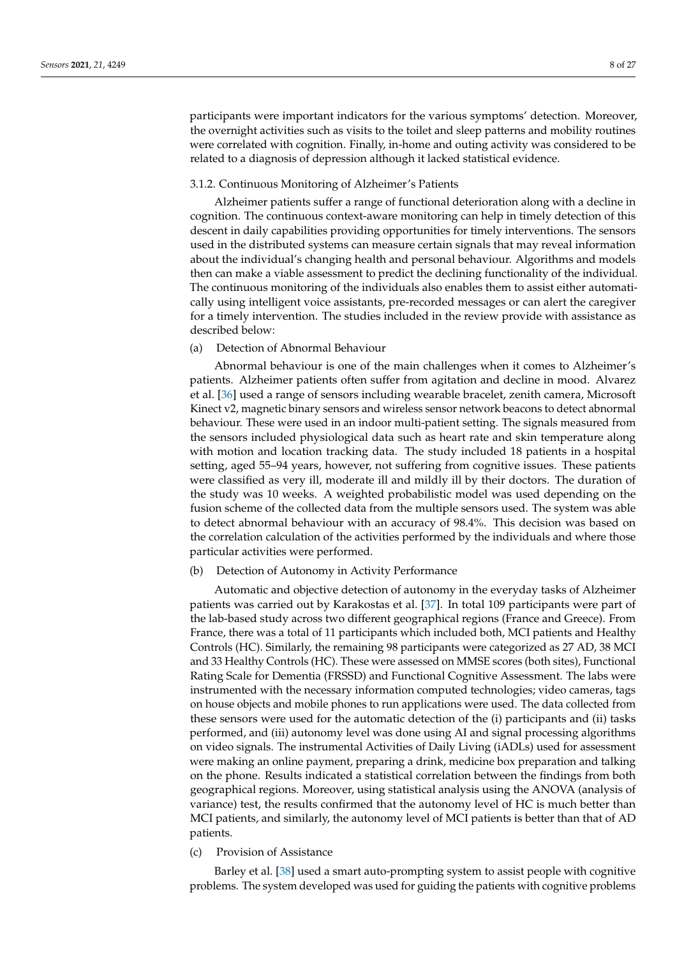participants were important indicators for the various symptoms' detection. Moreover, the overnight activities such as visits to the toilet and sleep patterns and mobility routines were correlated with cognition. Finally, in-home and outing activity was considered to be related to a diagnosis of depression although it lacked statistical evidence.

## 3.1.2. Continuous Monitoring of Alzheimer's Patients

Alzheimer patients suffer a range of functional deterioration along with a decline in cognition. The continuous context-aware monitoring can help in timely detection of this descent in daily capabilities providing opportunities for timely interventions. The sensors used in the distributed systems can measure certain signals that may reveal information about the individual's changing health and personal behaviour. Algorithms and models then can make a viable assessment to predict the declining functionality of the individual. The continuous monitoring of the individuals also enables them to assist either automatically using intelligent voice assistants, pre-recorded messages or can alert the caregiver for a timely intervention. The studies included in the review provide with assistance as described below:

# (a) Detection of Abnormal Behaviour

Abnormal behaviour is one of the main challenges when it comes to Alzheimer's patients. Alzheimer patients often suffer from agitation and decline in mood. Alvarez et al. [\[36\]](#page-25-8) used a range of sensors including wearable bracelet, zenith camera, Microsoft Kinect v2, magnetic binary sensors and wireless sensor network beacons to detect abnormal behaviour. These were used in an indoor multi-patient setting. The signals measured from the sensors included physiological data such as heart rate and skin temperature along with motion and location tracking data. The study included 18 patients in a hospital setting, aged 55–94 years, however, not suffering from cognitive issues. These patients were classified as very ill, moderate ill and mildly ill by their doctors. The duration of the study was 10 weeks. A weighted probabilistic model was used depending on the fusion scheme of the collected data from the multiple sensors used. The system was able to detect abnormal behaviour with an accuracy of 98.4%. This decision was based on the correlation calculation of the activities performed by the individuals and where those particular activities were performed.

## (b) Detection of Autonomy in Activity Performance

Automatic and objective detection of autonomy in the everyday tasks of Alzheimer patients was carried out by Karakostas et al. [\[37\]](#page-25-9). In total 109 participants were part of the lab-based study across two different geographical regions (France and Greece). From France, there was a total of 11 participants which included both, MCI patients and Healthy Controls (HC). Similarly, the remaining 98 participants were categorized as 27 AD, 38 MCI and 33 Healthy Controls (HC). These were assessed on MMSE scores (both sites), Functional Rating Scale for Dementia (FRSSD) and Functional Cognitive Assessment. The labs were instrumented with the necessary information computed technologies; video cameras, tags on house objects and mobile phones to run applications were used. The data collected from these sensors were used for the automatic detection of the (i) participants and (ii) tasks performed, and (iii) autonomy level was done using AI and signal processing algorithms on video signals. The instrumental Activities of Daily Living (iADLs) used for assessment were making an online payment, preparing a drink, medicine box preparation and talking on the phone. Results indicated a statistical correlation between the findings from both geographical regions. Moreover, using statistical analysis using the ANOVA (analysis of variance) test, the results confirmed that the autonomy level of HC is much better than MCI patients, and similarly, the autonomy level of MCI patients is better than that of AD patients.

# (c) Provision of Assistance

Barley et al. [\[38\]](#page-25-10) used a smart auto-prompting system to assist people with cognitive problems. The system developed was used for guiding the patients with cognitive problems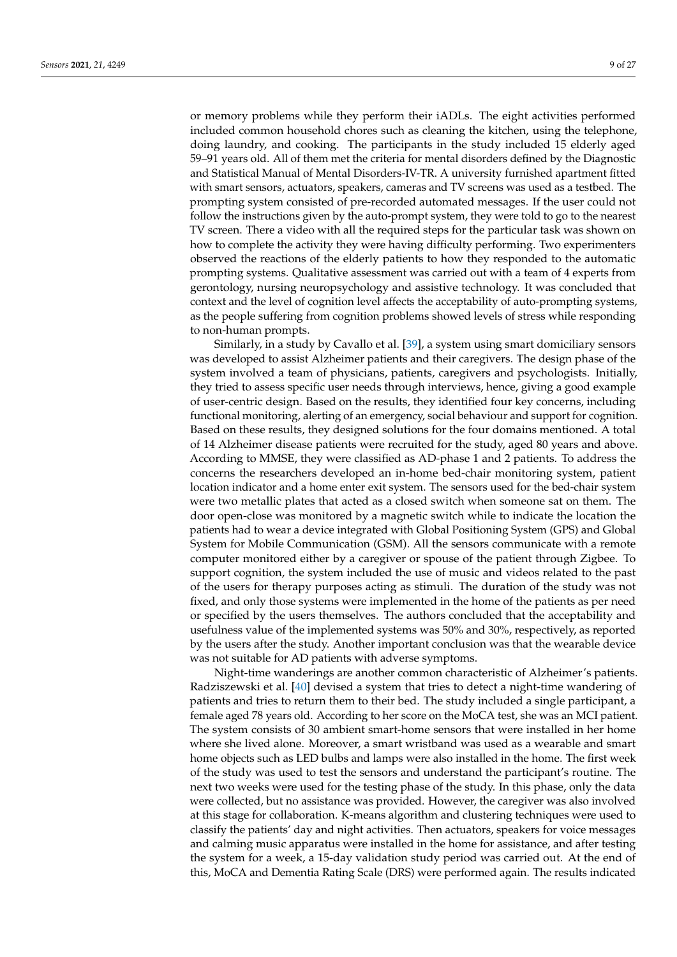or memory problems while they perform their iADLs. The eight activities performed included common household chores such as cleaning the kitchen, using the telephone, doing laundry, and cooking. The participants in the study included 15 elderly aged 59–91 years old. All of them met the criteria for mental disorders defined by the Diagnostic and Statistical Manual of Mental Disorders-IV-TR. A university furnished apartment fitted with smart sensors, actuators, speakers, cameras and TV screens was used as a testbed. The prompting system consisted of pre-recorded automated messages. If the user could not follow the instructions given by the auto-prompt system, they were told to go to the nearest TV screen. There a video with all the required steps for the particular task was shown on how to complete the activity they were having difficulty performing. Two experimenters observed the reactions of the elderly patients to how they responded to the automatic prompting systems. Qualitative assessment was carried out with a team of 4 experts from gerontology, nursing neuropsychology and assistive technology. It was concluded that context and the level of cognition level affects the acceptability of auto-prompting systems, as the people suffering from cognition problems showed levels of stress while responding to non-human prompts.

Similarly, in a study by Cavallo et al. [\[39\]](#page-25-11), a system using smart domiciliary sensors was developed to assist Alzheimer patients and their caregivers. The design phase of the system involved a team of physicians, patients, caregivers and psychologists. Initially, they tried to assess specific user needs through interviews, hence, giving a good example of user-centric design. Based on the results, they identified four key concerns, including functional monitoring, alerting of an emergency, social behaviour and support for cognition. Based on these results, they designed solutions for the four domains mentioned. A total of 14 Alzheimer disease patients were recruited for the study, aged 80 years and above. According to MMSE, they were classified as AD-phase 1 and 2 patients. To address the concerns the researchers developed an in-home bed-chair monitoring system, patient location indicator and a home enter exit system. The sensors used for the bed-chair system were two metallic plates that acted as a closed switch when someone sat on them. The door open-close was monitored by a magnetic switch while to indicate the location the patients had to wear a device integrated with Global Positioning System (GPS) and Global System for Mobile Communication (GSM). All the sensors communicate with a remote computer monitored either by a caregiver or spouse of the patient through Zigbee. To support cognition, the system included the use of music and videos related to the past of the users for therapy purposes acting as stimuli. The duration of the study was not fixed, and only those systems were implemented in the home of the patients as per need or specified by the users themselves. The authors concluded that the acceptability and usefulness value of the implemented systems was 50% and 30%, respectively, as reported by the users after the study. Another important conclusion was that the wearable device was not suitable for AD patients with adverse symptoms.

Night-time wanderings are another common characteristic of Alzheimer's patients. Radziszewski et al. [\[40\]](#page-25-12) devised a system that tries to detect a night-time wandering of patients and tries to return them to their bed. The study included a single participant, a female aged 78 years old. According to her score on the MoCA test, she was an MCI patient. The system consists of 30 ambient smart-home sensors that were installed in her home where she lived alone. Moreover, a smart wristband was used as a wearable and smart home objects such as LED bulbs and lamps were also installed in the home. The first week of the study was used to test the sensors and understand the participant's routine. The next two weeks were used for the testing phase of the study. In this phase, only the data were collected, but no assistance was provided. However, the caregiver was also involved at this stage for collaboration. K-means algorithm and clustering techniques were used to classify the patients' day and night activities. Then actuators, speakers for voice messages and calming music apparatus were installed in the home for assistance, and after testing the system for a week, a 15-day validation study period was carried out. At the end of this, MoCA and Dementia Rating Scale (DRS) were performed again. The results indicated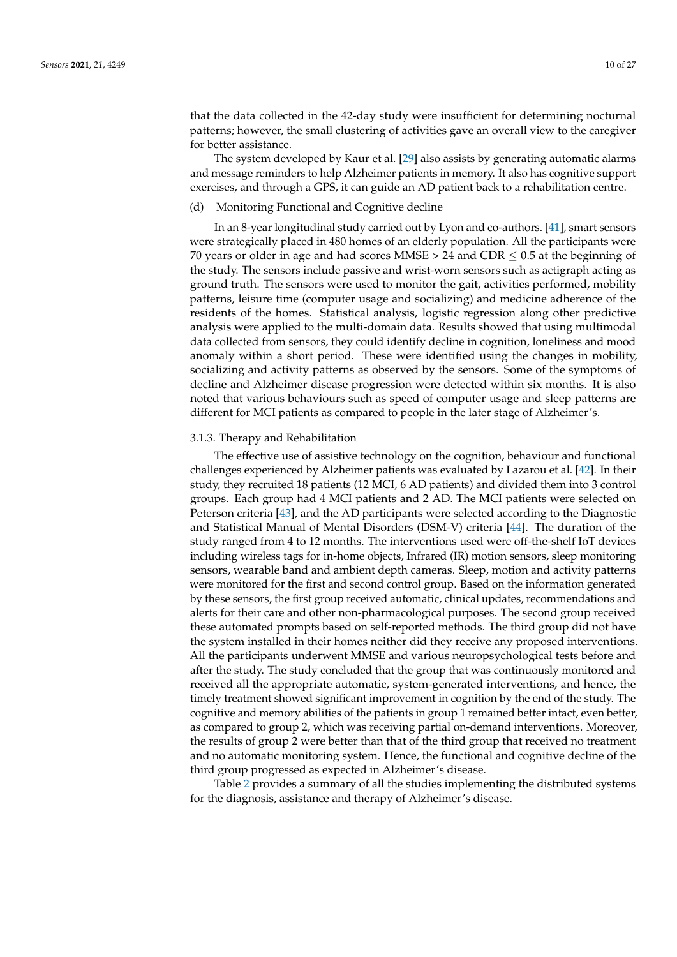that the data collected in the 42-day study were insufficient for determining nocturnal patterns; however, the small clustering of activities gave an overall view to the caregiver for better assistance.

The system developed by Kaur et al. [\[29\]](#page-25-1) also assists by generating automatic alarms and message reminders to help Alzheimer patients in memory. It also has cognitive support exercises, and through a GPS, it can guide an AD patient back to a rehabilitation centre.

# (d) Monitoring Functional and Cognitive decline

In an 8-year longitudinal study carried out by Lyon and co-authors. [\[41\]](#page-25-13), smart sensors were strategically placed in 480 homes of an elderly population. All the participants were 70 years or older in age and had scores MMSE > 24 and CDR  $\leq$  0.5 at the beginning of the study. The sensors include passive and wrist-worn sensors such as actigraph acting as ground truth. The sensors were used to monitor the gait, activities performed, mobility patterns, leisure time (computer usage and socializing) and medicine adherence of the residents of the homes. Statistical analysis, logistic regression along other predictive analysis were applied to the multi-domain data. Results showed that using multimodal data collected from sensors, they could identify decline in cognition, loneliness and mood anomaly within a short period. These were identified using the changes in mobility, socializing and activity patterns as observed by the sensors. Some of the symptoms of decline and Alzheimer disease progression were detected within six months. It is also noted that various behaviours such as speed of computer usage and sleep patterns are different for MCI patients as compared to people in the later stage of Alzheimer's.

#### 3.1.3. Therapy and Rehabilitation

The effective use of assistive technology on the cognition, behaviour and functional challenges experienced by Alzheimer patients was evaluated by Lazarou et al. [\[42\]](#page-25-14). In their study, they recruited 18 patients (12 MCI, 6 AD patients) and divided them into 3 control groups. Each group had 4 MCI patients and 2 AD. The MCI patients were selected on Peterson criteria [\[43\]](#page-25-15), and the AD participants were selected according to the Diagnostic and Statistical Manual of Mental Disorders (DSM-V) criteria [\[44\]](#page-25-16). The duration of the study ranged from 4 to 12 months. The interventions used were off-the-shelf IoT devices including wireless tags for in-home objects, Infrared (IR) motion sensors, sleep monitoring sensors, wearable band and ambient depth cameras. Sleep, motion and activity patterns were monitored for the first and second control group. Based on the information generated by these sensors, the first group received automatic, clinical updates, recommendations and alerts for their care and other non-pharmacological purposes. The second group received these automated prompts based on self-reported methods. The third group did not have the system installed in their homes neither did they receive any proposed interventions. All the participants underwent MMSE and various neuropsychological tests before and after the study. The study concluded that the group that was continuously monitored and received all the appropriate automatic, system-generated interventions, and hence, the timely treatment showed significant improvement in cognition by the end of the study. The cognitive and memory abilities of the patients in group 1 remained better intact, even better, as compared to group 2, which was receiving partial on-demand interventions. Moreover, the results of group 2 were better than that of the third group that received no treatment and no automatic monitoring system. Hence, the functional and cognitive decline of the third group progressed as expected in Alzheimer's disease.

Table [2](#page-12-0) provides a summary of all the studies implementing the distributed systems for the diagnosis, assistance and therapy of Alzheimer's disease.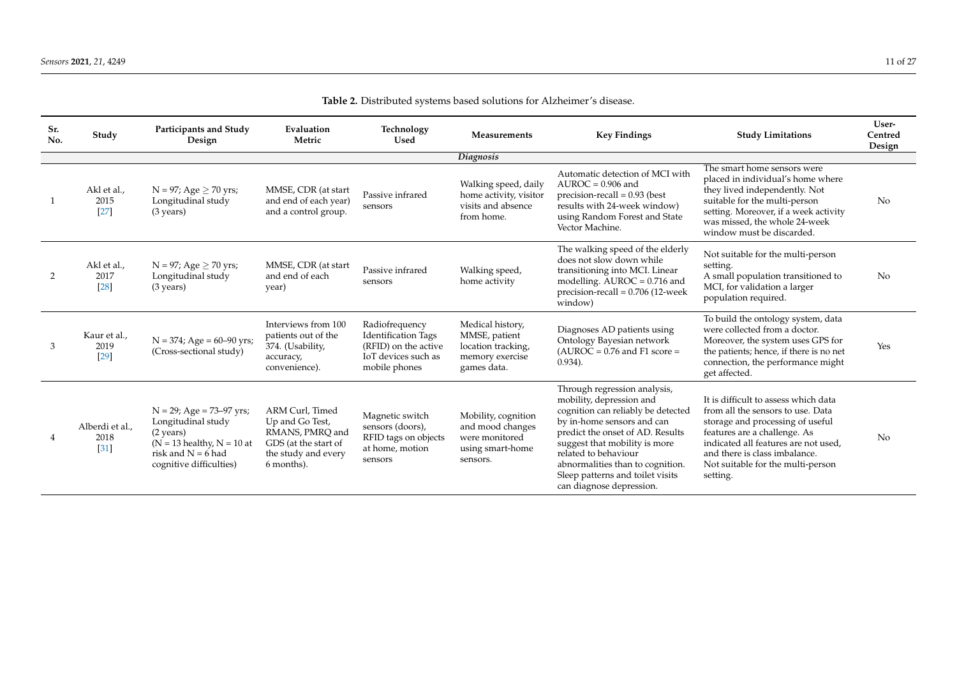| Sr.<br>No. | Study                           | Participants and Study<br>Design                                                                                                                              | Evaluation<br>Metric                                                                                               | Technology<br><b>Used</b>                                                                                    | Measurements                                                                              | <b>Key Findings</b>                                                                                                                                                                                                                                                                                                           | <b>Study Limitations</b>                                                                                                                                                                                                                                                | User-<br>Centred<br>Design |
|------------|---------------------------------|---------------------------------------------------------------------------------------------------------------------------------------------------------------|--------------------------------------------------------------------------------------------------------------------|--------------------------------------------------------------------------------------------------------------|-------------------------------------------------------------------------------------------|-------------------------------------------------------------------------------------------------------------------------------------------------------------------------------------------------------------------------------------------------------------------------------------------------------------------------------|-------------------------------------------------------------------------------------------------------------------------------------------------------------------------------------------------------------------------------------------------------------------------|----------------------------|
|            |                                 |                                                                                                                                                               |                                                                                                                    |                                                                                                              | Diagnosis                                                                                 |                                                                                                                                                                                                                                                                                                                               |                                                                                                                                                                                                                                                                         |                            |
|            | Akl et al.,<br>2015<br>$[27]$   | $N = 97$ ; Age $\geq 70$ yrs;<br>Longitudinal study<br>$(3 \text{ years})$                                                                                    | MMSE, CDR (at start<br>and end of each year)<br>and a control group.                                               | Passive infrared<br>sensors                                                                                  | Walking speed, daily<br>home activity, visitor<br>visits and absence<br>from home.        | Automatic detection of MCI with<br>$AUROC = 0.906$ and<br>$precision$ -recall = 0.93 (best<br>results with 24-week window)<br>using Random Forest and State<br>Vector Machine.                                                                                                                                                | The smart home sensors were<br>placed in individual's home where<br>they lived independently. Not<br>suitable for the multi-person<br>setting. Moreover, if a week activity<br>was missed, the whole 24-week<br>window must be discarded.                               | No                         |
| 2          | Akl et al.,<br>2017<br>[28]     | $N = 97$ ; Age $\geq 70$ yrs;<br>Longitudinal study<br>$(3 \text{ years})$                                                                                    | MMSE, CDR (at start<br>and end of each<br>year)                                                                    | Passive infrared<br>sensors                                                                                  | Walking speed,<br>home activity                                                           | The walking speed of the elderly<br>does not slow down while<br>transitioning into MCI. Linear<br>modelling. $\text{AUROC} = 0.716$ and<br>$precision$ -recall = 0.706 (12-week<br>window)                                                                                                                                    | Not suitable for the multi-person<br>setting.<br>A small population transitioned to<br>MCI, for validation a larger<br>population required.                                                                                                                             | No                         |
| 3          | Kaur et al.,<br>2019<br>$[29]$  | $N = 374$ ; Age = 60–90 yrs;<br>(Cross-sectional study)                                                                                                       | Interviews from 100<br>patients out of the<br>374. (Usability,<br>accuracy,<br>convenience).                       | Radiofrequency<br><b>Identification Tags</b><br>(RFID) on the active<br>IoT devices such as<br>mobile phones | Medical history,<br>MMSE, patient<br>location tracking,<br>memory exercise<br>games data. | Diagnoses AD patients using<br>Ontology Bayesian network<br>$(AUROC = 0.76$ and $F1 score =$<br>$0.934$ ).                                                                                                                                                                                                                    | To build the ontology system, data<br>were collected from a doctor.<br>Moreover, the system uses GPS for<br>the patients; hence, if there is no net<br>connection, the performance might<br>get affected.                                                               | Yes                        |
|            | Alberdi et al.,<br>2018<br>[31] | $N = 29$ ; Age = 73–97 yrs;<br>Longitudinal study<br>$(2 \text{ years})$<br>$(N = 13$ healthy, $N = 10$ at<br>risk and $N = 6$ had<br>cognitive difficulties) | ARM Curl, Timed<br>Up and Go Test,<br>RMANS, PMRQ and<br>GDS (at the start of<br>the study and every<br>6 months). | Magnetic switch<br>sensors (doors),<br>RFID tags on objects<br>at home, motion<br>sensors                    | Mobility, cognition<br>and mood changes<br>were monitored<br>using smart-home<br>sensors. | Through regression analysis,<br>mobility, depression and<br>cognition can reliably be detected<br>by in-home sensors and can<br>predict the onset of AD. Results<br>suggest that mobility is more<br>related to behaviour<br>abnormalities than to cognition.<br>Sleep patterns and toilet visits<br>can diagnose depression. | It is difficult to assess which data<br>from all the sensors to use. Data<br>storage and processing of useful<br>features are a challenge. As<br>indicated all features are not used,<br>and there is class imbalance.<br>Not suitable for the multi-person<br>setting. | No                         |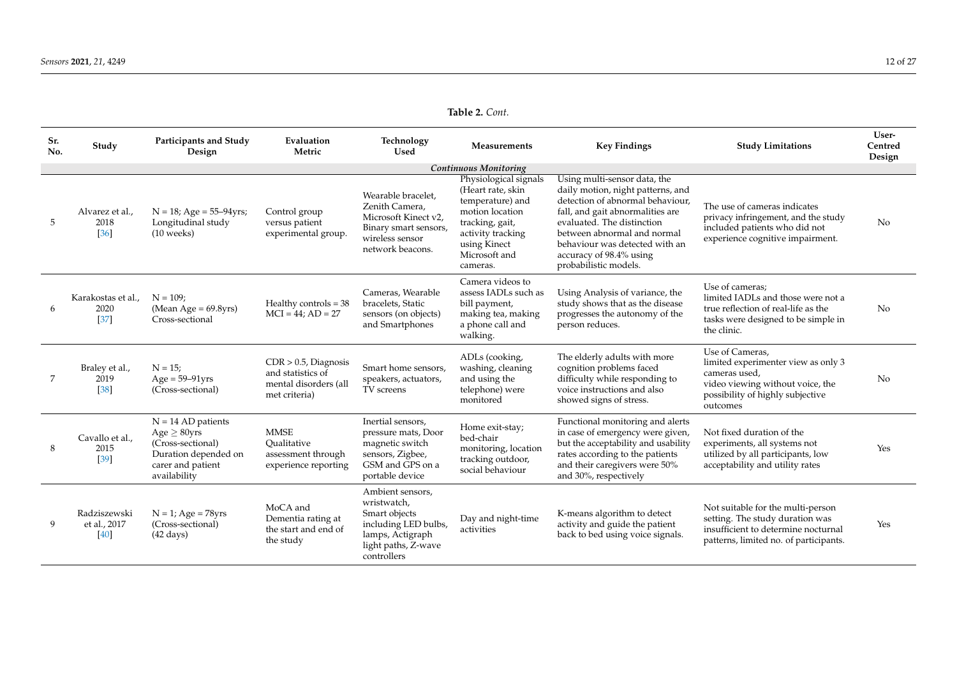# **Table 2.** *Cont.*

| Sr.<br>No. | Study                                | Participants and Study<br>Design                                                                                           | Evaluation<br>Metric                                                                   | Technology<br><b>Used</b>                                                                                                          | Measurements                                                                                                                                                           | <b>Key Findings</b>                                                                                                                                                                                                                                                                          | <b>Study Limitations</b>                                                                                                                                    | User-<br>Centred<br>Design |
|------------|--------------------------------------|----------------------------------------------------------------------------------------------------------------------------|----------------------------------------------------------------------------------------|------------------------------------------------------------------------------------------------------------------------------------|------------------------------------------------------------------------------------------------------------------------------------------------------------------------|----------------------------------------------------------------------------------------------------------------------------------------------------------------------------------------------------------------------------------------------------------------------------------------------|-------------------------------------------------------------------------------------------------------------------------------------------------------------|----------------------------|
|            |                                      |                                                                                                                            |                                                                                        |                                                                                                                                    | <b>Continuous Monitoring</b>                                                                                                                                           |                                                                                                                                                                                                                                                                                              |                                                                                                                                                             |                            |
| 5          | Alvarez et al.,<br>2018<br>[36]      | $N = 18$ ; Age = 55-94yrs;<br>Longitudinal study<br>$(10$ weeks)                                                           | Control group<br>versus patient<br>experimental group.                                 | Wearable bracelet.<br>Zenith Camera,<br>Microsoft Kinect v2,<br>Binary smart sensors,<br>wireless sensor<br>network beacons.       | Physiological signals<br>(Heart rate, skin<br>temperature) and<br>motion location<br>tracking, gait,<br>activity tracking<br>using Kinect<br>Microsoft and<br>cameras. | Using multi-sensor data, the<br>daily motion, night patterns, and<br>detection of abnormal behaviour.<br>fall, and gait abnormalities are<br>evaluated. The distinction<br>between abnormal and normal<br>behaviour was detected with an<br>accuracy of 98.4% using<br>probabilistic models. | The use of cameras indicates<br>privacy infringement, and the study<br>included patients who did not<br>experience cognitive impairment.                    | No                         |
|            | Karakostas et al.,<br>2020<br>$[37]$ | $N = 109$ :<br>(Mean Age = $69.8yrs$ )<br>Cross-sectional                                                                  | Healthy controls = $38$<br>$MCI = 44; AD = 27$                                         | Cameras, Wearable<br>bracelets, Static<br>sensors (on objects)<br>and Smartphones                                                  | Camera videos to<br>assess IADLs such as<br>bill payment,<br>making tea, making<br>a phone call and<br>walking.                                                        | Using Analysis of variance, the<br>study shows that as the disease<br>progresses the autonomy of the<br>person reduces.                                                                                                                                                                      | Use of cameras;<br>limited IADLs and those were not a<br>true reflection of real-life as the<br>tasks were designed to be simple in<br>the clinic.          | N <sub>o</sub>             |
|            | Braley et al.,<br>2019<br>$[38]$     | $N = 15;$<br>$Age = 59-91vrs$<br>(Cross-sectional)                                                                         | $CDR > 0.5$ , Diagnosis<br>and statistics of<br>mental disorders (all<br>met criteria) | Smart home sensors,<br>speakers, actuators,<br>TV screens                                                                          | ADLs (cooking,<br>washing, cleaning<br>and using the<br>telephone) were<br>monitored                                                                                   | The elderly adults with more<br>cognition problems faced<br>difficulty while responding to<br>voice instructions and also<br>showed signs of stress.                                                                                                                                         | Use of Cameras.<br>limited experimenter view as only 3<br>cameras used.<br>video viewing without voice, the<br>possibility of highly subjective<br>outcomes | N <sub>o</sub>             |
| 8          | Cavallo et al.,<br>2015<br>$[39]$    | $N = 14 AD$ patients<br>Age $\geq$ 80yrs<br>(Cross-sectional)<br>Duration depended on<br>carer and patient<br>availability | <b>MMSE</b><br>Oualitative<br>assessment through<br>experience reporting               | Inertial sensors,<br>pressure mats, Door<br>magnetic switch<br>sensors, Zigbee,<br>GSM and GPS on a<br>portable device             | Home exit-stay;<br>bed-chair<br>monitoring, location<br>tracking outdoor,<br>social behaviour                                                                          | Functional monitoring and alerts<br>in case of emergency were given,<br>but the acceptability and usability<br>rates according to the patients<br>and their caregivers were 50%<br>and 30%, respectively                                                                                     | Not fixed duration of the<br>experiments, all systems not<br>utilized by all participants, low<br>acceptability and utility rates                           | Yes                        |
| 9          | Radziszewski<br>et al., 2017<br>[40] | $N = 1$ ; Age = 78yrs<br>(Cross-sectional)<br>$(42 \text{ days})$                                                          | MoCA and<br>Dementia rating at<br>the start and end of<br>the study                    | Ambient sensors,<br>wristwatch,<br>Smart objects<br>including LED bulbs,<br>lamps, Actigraph<br>light paths, Z-wave<br>controllers | Day and night-time<br>activities                                                                                                                                       | K-means algorithm to detect<br>activity and guide the patient<br>back to bed using voice signals.                                                                                                                                                                                            | Not suitable for the multi-person<br>setting. The study duration was<br>insufficient to determine nocturnal<br>patterns, limited no. of participants.       | Yes                        |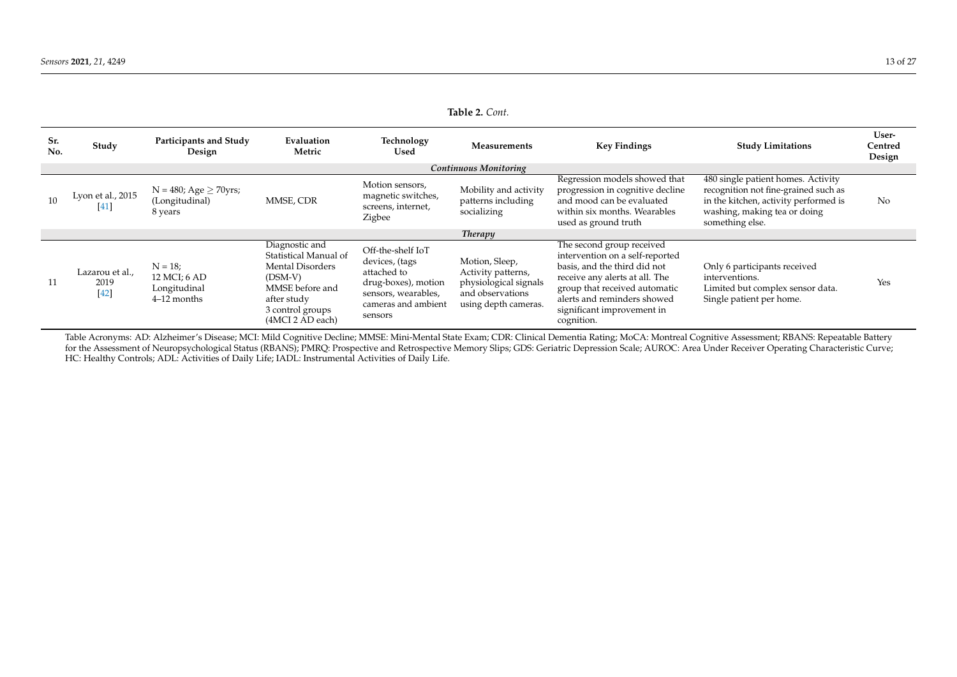| Sr.<br>No. | Study                             | Participants and Study<br>Design                            | Evaluation<br>Metric                                                                                                                                      | Technology<br>Used                                                                                                                 | Measurements                                                                                              | <b>Key Findings</b>                                                                                                                                                                                                                        | <b>Study Limitations</b>                                                                                                                                               | User-<br>Centred<br>Design |
|------------|-----------------------------------|-------------------------------------------------------------|-----------------------------------------------------------------------------------------------------------------------------------------------------------|------------------------------------------------------------------------------------------------------------------------------------|-----------------------------------------------------------------------------------------------------------|--------------------------------------------------------------------------------------------------------------------------------------------------------------------------------------------------------------------------------------------|------------------------------------------------------------------------------------------------------------------------------------------------------------------------|----------------------------|
|            |                                   |                                                             |                                                                                                                                                           |                                                                                                                                    | Continuous Monitoring                                                                                     |                                                                                                                                                                                                                                            |                                                                                                                                                                        |                            |
| 10         | Lyon et al., 2015<br>[41]         | $N = 480$ ; Age $\geq 70$ yrs;<br>(Longitudinal)<br>8 years | MMSE, CDR                                                                                                                                                 | Motion sensors,<br>magnetic switches,<br>screens, internet,<br>Zigbee                                                              | Mobility and activity<br>patterns including<br>socializing                                                | Regression models showed that<br>progression in cognitive decline<br>and mood can be evaluated<br>within six months. Wearables<br>used as ground truth                                                                                     | 480 single patient homes. Activity<br>recognition not fine-grained such as<br>in the kitchen, activity performed is<br>washing, making tea or doing<br>something else. | No                         |
|            |                                   |                                                             |                                                                                                                                                           |                                                                                                                                    | <b>Therapy</b>                                                                                            |                                                                                                                                                                                                                                            |                                                                                                                                                                        |                            |
| 11         | Lazarou et al.,<br>2019<br>$[42]$ | $N = 18$ ;<br>12 MCI; 6 AD<br>Longitudinal<br>4–12 months   | Diagnostic and<br>Statistical Manual of<br><b>Mental Disorders</b><br>$(DSM-V)$<br>MMSE before and<br>after study<br>3 control groups<br>(4MCI 2 AD each) | Off-the-shelf IoT<br>devices, (tags<br>attached to<br>drug-boxes), motion<br>sensors, wearables,<br>cameras and ambient<br>sensors | Motion, Sleep,<br>Activity patterns,<br>physiological signals<br>and observations<br>using depth cameras. | The second group received<br>intervention on a self-reported<br>basis, and the third did not<br>receive any alerts at all. The<br>group that received automatic<br>alerts and reminders showed<br>significant improvement in<br>cognition. | Only 6 participants received<br>interventions.<br>Limited but complex sensor data.<br>Single patient per home.                                                         | Yes                        |

**Table 2.** *Cont.*

<span id="page-12-0"></span>Table Acronyms: AD: Alzheimer's Disease; MCI: Mild Cognitive Decline; MMSE: Mini-Mental State Exam; CDR: Clinical Dementia Rating; MoCA: Montreal Cognitive Assessment; RBANS: Repeatable Battery for the Assessment of Neuropsychological Status (RBANS); PMRQ: Prospective and Retrospective Memory Slips; GDS: Geriatric Depression Scale; AUROC: Area Under Receiver Operating Characteristic Curve; HC: Healthy Controls; ADL: Activities of Daily Life; IADL: Instrumental Activities of Daily Life.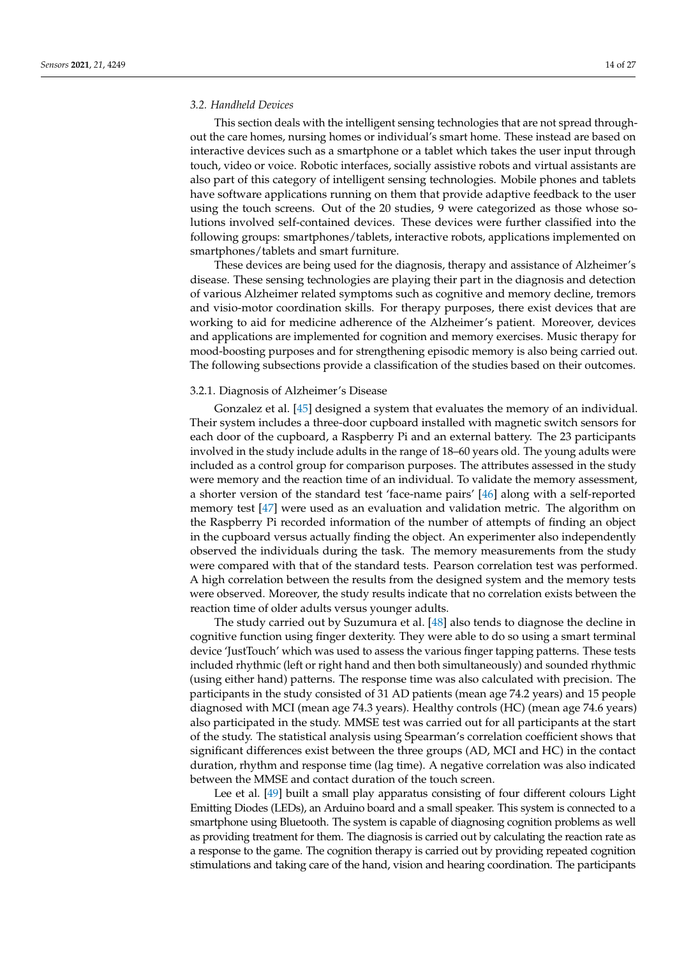## *3.2. Handheld Devices*

This section deals with the intelligent sensing technologies that are not spread throughout the care homes, nursing homes or individual's smart home. These instead are based on interactive devices such as a smartphone or a tablet which takes the user input through touch, video or voice. Robotic interfaces, socially assistive robots and virtual assistants are also part of this category of intelligent sensing technologies. Mobile phones and tablets have software applications running on them that provide adaptive feedback to the user using the touch screens. Out of the 20 studies, 9 were categorized as those whose solutions involved self-contained devices. These devices were further classified into the following groups: smartphones/tablets, interactive robots, applications implemented on smartphones/tablets and smart furniture.

These devices are being used for the diagnosis, therapy and assistance of Alzheimer's disease. These sensing technologies are playing their part in the diagnosis and detection of various Alzheimer related symptoms such as cognitive and memory decline, tremors and visio-motor coordination skills. For therapy purposes, there exist devices that are working to aid for medicine adherence of the Alzheimer's patient. Moreover, devices and applications are implemented for cognition and memory exercises. Music therapy for mood-boosting purposes and for strengthening episodic memory is also being carried out. The following subsections provide a classification of the studies based on their outcomes.

# 3.2.1. Diagnosis of Alzheimer's Disease

Gonzalez et al. [\[45\]](#page-25-27) designed a system that evaluates the memory of an individual. Their system includes a three-door cupboard installed with magnetic switch sensors for each door of the cupboard, a Raspberry Pi and an external battery. The 23 participants involved in the study include adults in the range of 18–60 years old. The young adults were included as a control group for comparison purposes. The attributes assessed in the study were memory and the reaction time of an individual. To validate the memory assessment, a shorter version of the standard test 'face-name pairs' [\[46\]](#page-25-28) along with a self-reported memory test [\[47\]](#page-25-29) were used as an evaluation and validation metric. The algorithm on the Raspberry Pi recorded information of the number of attempts of finding an object in the cupboard versus actually finding the object. An experimenter also independently observed the individuals during the task. The memory measurements from the study were compared with that of the standard tests. Pearson correlation test was performed. A high correlation between the results from the designed system and the memory tests were observed. Moreover, the study results indicate that no correlation exists between the reaction time of older adults versus younger adults.

The study carried out by Suzumura et al. [\[48\]](#page-25-30) also tends to diagnose the decline in cognitive function using finger dexterity. They were able to do so using a smart terminal device 'JustTouch' which was used to assess the various finger tapping patterns. These tests included rhythmic (left or right hand and then both simultaneously) and sounded rhythmic (using either hand) patterns. The response time was also calculated with precision. The participants in the study consisted of 31 AD patients (mean age 74.2 years) and 15 people diagnosed with MCI (mean age 74.3 years). Healthy controls (HC) (mean age 74.6 years) also participated in the study. MMSE test was carried out for all participants at the start of the study. The statistical analysis using Spearman's correlation coefficient shows that significant differences exist between the three groups (AD, MCI and HC) in the contact duration, rhythm and response time (lag time). A negative correlation was also indicated between the MMSE and contact duration of the touch screen.

Lee et al. [\[49\]](#page-25-31) built a small play apparatus consisting of four different colours Light Emitting Diodes (LEDs), an Arduino board and a small speaker. This system is connected to a smartphone using Bluetooth. The system is capable of diagnosing cognition problems as well as providing treatment for them. The diagnosis is carried out by calculating the reaction rate as a response to the game. The cognition therapy is carried out by providing repeated cognition stimulations and taking care of the hand, vision and hearing coordination. The participants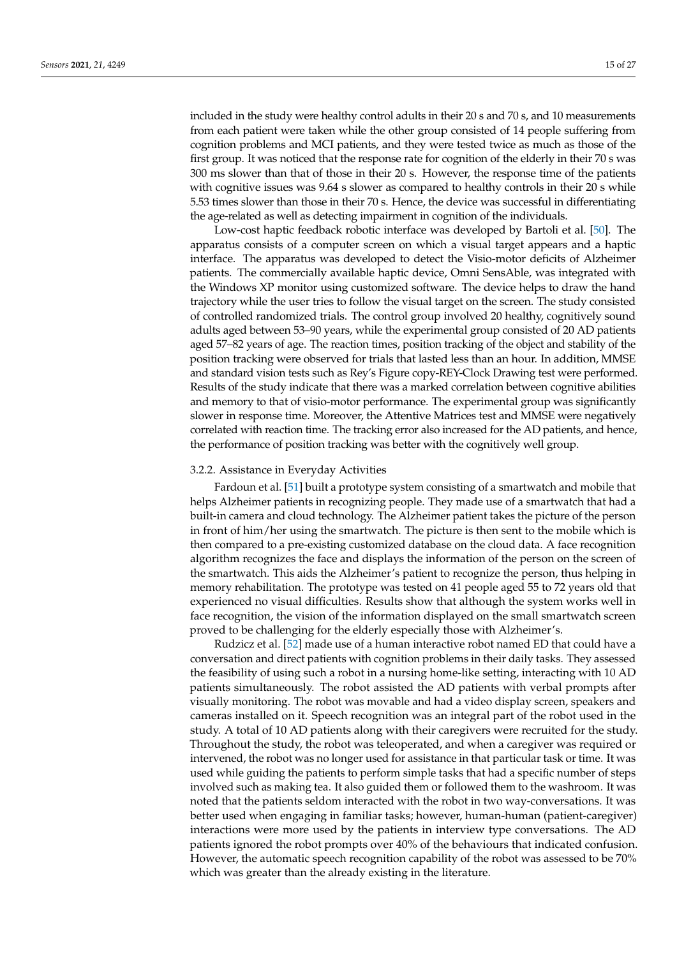included in the study were healthy control adults in their 20 s and 70 s, and 10 measurements from each patient were taken while the other group consisted of 14 people suffering from cognition problems and MCI patients, and they were tested twice as much as those of the first group. It was noticed that the response rate for cognition of the elderly in their 70 s was 300 ms slower than that of those in their 20 s. However, the response time of the patients with cognitive issues was 9.64 s slower as compared to healthy controls in their 20 s while 5.53 times slower than those in their 70 s. Hence, the device was successful in differentiating the age-related as well as detecting impairment in cognition of the individuals.

Low-cost haptic feedback robotic interface was developed by Bartoli et al. [\[50\]](#page-25-32). The apparatus consists of a computer screen on which a visual target appears and a haptic interface. The apparatus was developed to detect the Visio-motor deficits of Alzheimer patients. The commercially available haptic device, Omni SensAble, was integrated with the Windows XP monitor using customized software. The device helps to draw the hand trajectory while the user tries to follow the visual target on the screen. The study consisted of controlled randomized trials. The control group involved 20 healthy, cognitively sound adults aged between 53–90 years, while the experimental group consisted of 20 AD patients aged 57–82 years of age. The reaction times, position tracking of the object and stability of the position tracking were observed for trials that lasted less than an hour. In addition, MMSE and standard vision tests such as Rey's Figure copy-REY-Clock Drawing test were performed. Results of the study indicate that there was a marked correlation between cognitive abilities and memory to that of visio-motor performance. The experimental group was significantly slower in response time. Moreover, the Attentive Matrices test and MMSE were negatively correlated with reaction time. The tracking error also increased for the AD patients, and hence, the performance of position tracking was better with the cognitively well group.

#### 3.2.2. Assistance in Everyday Activities

Fardoun et al. [\[51\]](#page-25-33) built a prototype system consisting of a smartwatch and mobile that helps Alzheimer patients in recognizing people. They made use of a smartwatch that had a built-in camera and cloud technology. The Alzheimer patient takes the picture of the person in front of him/her using the smartwatch. The picture is then sent to the mobile which is then compared to a pre-existing customized database on the cloud data. A face recognition algorithm recognizes the face and displays the information of the person on the screen of the smartwatch. This aids the Alzheimer's patient to recognize the person, thus helping in memory rehabilitation. The prototype was tested on 41 people aged 55 to 72 years old that experienced no visual difficulties. Results show that although the system works well in face recognition, the vision of the information displayed on the small smartwatch screen proved to be challenging for the elderly especially those with Alzheimer's.

Rudzicz et al. [\[52\]](#page-25-34) made use of a human interactive robot named ED that could have a conversation and direct patients with cognition problems in their daily tasks. They assessed the feasibility of using such a robot in a nursing home-like setting, interacting with 10 AD patients simultaneously. The robot assisted the AD patients with verbal prompts after visually monitoring. The robot was movable and had a video display screen, speakers and cameras installed on it. Speech recognition was an integral part of the robot used in the study. A total of 10 AD patients along with their caregivers were recruited for the study. Throughout the study, the robot was teleoperated, and when a caregiver was required or intervened, the robot was no longer used for assistance in that particular task or time. It was used while guiding the patients to perform simple tasks that had a specific number of steps involved such as making tea. It also guided them or followed them to the washroom. It was noted that the patients seldom interacted with the robot in two way-conversations. It was better used when engaging in familiar tasks; however, human-human (patient-caregiver) interactions were more used by the patients in interview type conversations. The AD patients ignored the robot prompts over 40% of the behaviours that indicated confusion. However, the automatic speech recognition capability of the robot was assessed to be 70% which was greater than the already existing in the literature.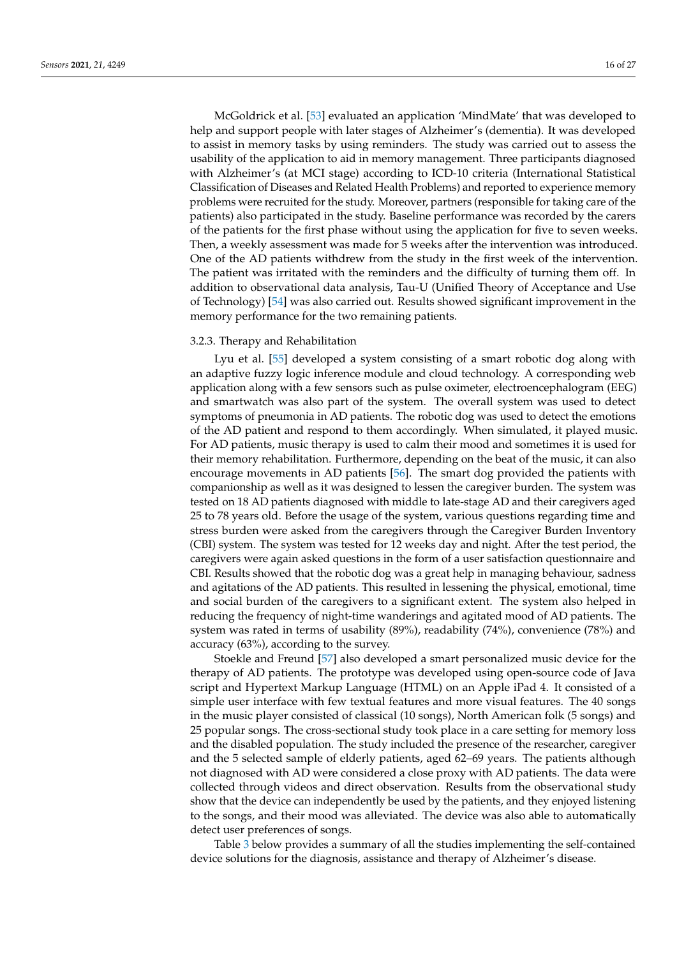McGoldrick et al. [\[53\]](#page-25-35) evaluated an application 'MindMate' that was developed to help and support people with later stages of Alzheimer's (dementia). It was developed to assist in memory tasks by using reminders. The study was carried out to assess the usability of the application to aid in memory management. Three participants diagnosed with Alzheimer's (at MCI stage) according to ICD-10 criteria (International Statistical Classification of Diseases and Related Health Problems) and reported to experience memory problems were recruited for the study. Moreover, partners (responsible for taking care of the patients) also participated in the study. Baseline performance was recorded by the carers of the patients for the first phase without using the application for five to seven weeks. Then, a weekly assessment was made for 5 weeks after the intervention was introduced. One of the AD patients withdrew from the study in the first week of the intervention. The patient was irritated with the reminders and the difficulty of turning them off. In addition to observational data analysis, Tau-U (Unified Theory of Acceptance and Use of Technology) [\[54\]](#page-26-0) was also carried out. Results showed significant improvement in the memory performance for the two remaining patients.

# 3.2.3. Therapy and Rehabilitation

Lyu et al. [\[55\]](#page-26-1) developed a system consisting of a smart robotic dog along with an adaptive fuzzy logic inference module and cloud technology. A corresponding web application along with a few sensors such as pulse oximeter, electroencephalogram (EEG) and smartwatch was also part of the system. The overall system was used to detect symptoms of pneumonia in AD patients. The robotic dog was used to detect the emotions of the AD patient and respond to them accordingly. When simulated, it played music. For AD patients, music therapy is used to calm their mood and sometimes it is used for their memory rehabilitation. Furthermore, depending on the beat of the music, it can also encourage movements in AD patients [\[56\]](#page-26-2). The smart dog provided the patients with companionship as well as it was designed to lessen the caregiver burden. The system was tested on 18 AD patients diagnosed with middle to late-stage AD and their caregivers aged 25 to 78 years old. Before the usage of the system, various questions regarding time and stress burden were asked from the caregivers through the Caregiver Burden Inventory (CBI) system. The system was tested for 12 weeks day and night. After the test period, the caregivers were again asked questions in the form of a user satisfaction questionnaire and CBI. Results showed that the robotic dog was a great help in managing behaviour, sadness and agitations of the AD patients. This resulted in lessening the physical, emotional, time and social burden of the caregivers to a significant extent. The system also helped in reducing the frequency of night-time wanderings and agitated mood of AD patients. The system was rated in terms of usability (89%), readability (74%), convenience (78%) and accuracy (63%), according to the survey.

Stoekle and Freund [\[57\]](#page-26-3) also developed a smart personalized music device for the therapy of AD patients. The prototype was developed using open-source code of Java script and Hypertext Markup Language (HTML) on an Apple iPad 4. It consisted of a simple user interface with few textual features and more visual features. The 40 songs in the music player consisted of classical (10 songs), North American folk (5 songs) and 25 popular songs. The cross-sectional study took place in a care setting for memory loss and the disabled population. The study included the presence of the researcher, caregiver and the 5 selected sample of elderly patients, aged 62–69 years. The patients although not diagnosed with AD were considered a close proxy with AD patients. The data were collected through videos and direct observation. Results from the observational study show that the device can independently be used by the patients, and they enjoyed listening to the songs, and their mood was alleviated. The device was also able to automatically detect user preferences of songs.

Table [3](#page-17-0) below provides a summary of all the studies implementing the self-contained device solutions for the diagnosis, assistance and therapy of Alzheimer's disease.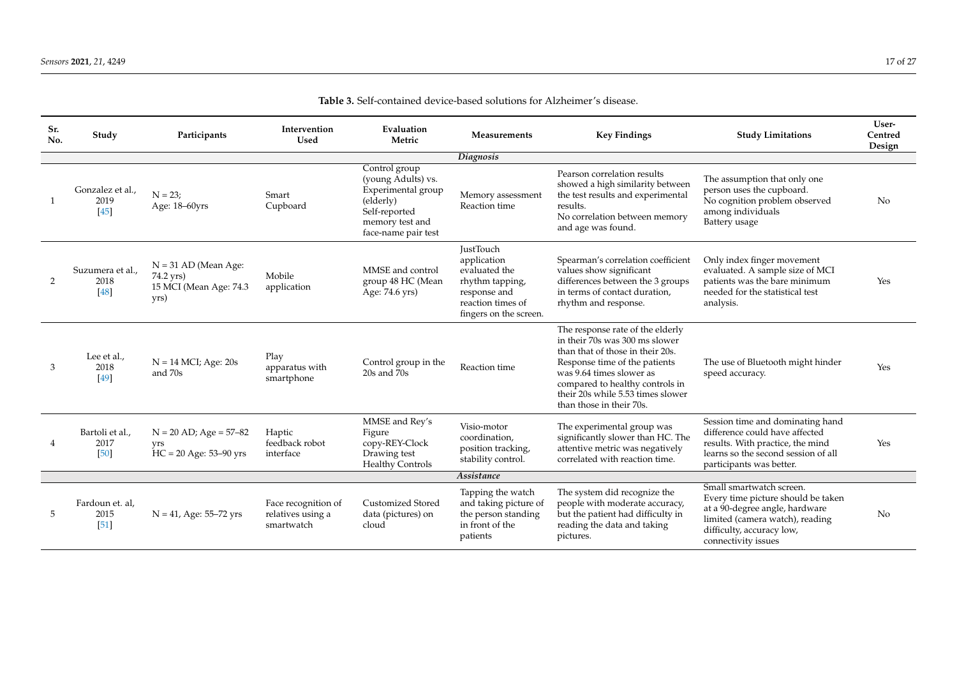| Sr.<br>No. | Study                              | Participants                                                          | Intervention<br>Used                                   | Evaluation<br>Metric                                                                                                              | Measurements                                                                                                                       | <b>Key Findings</b>                                                                                                                                                                                                                                                     | <b>Study Limitations</b>                                                                                                                                                                | User-<br>Centred<br>Design |
|------------|------------------------------------|-----------------------------------------------------------------------|--------------------------------------------------------|-----------------------------------------------------------------------------------------------------------------------------------|------------------------------------------------------------------------------------------------------------------------------------|-------------------------------------------------------------------------------------------------------------------------------------------------------------------------------------------------------------------------------------------------------------------------|-----------------------------------------------------------------------------------------------------------------------------------------------------------------------------------------|----------------------------|
|            |                                    |                                                                       |                                                        |                                                                                                                                   | Diagnosis                                                                                                                          |                                                                                                                                                                                                                                                                         |                                                                                                                                                                                         |                            |
|            | Gonzalez et al.,<br>2019<br>$[45]$ | $N = 23$ ;<br>Age: 18-60yrs                                           | Smart<br>Cupboard                                      | Control group<br>(young Adults) vs.<br>Experimental group<br>(elderly)<br>Self-reported<br>memory test and<br>face-name pair test | Memory assessment<br>Reaction time                                                                                                 | Pearson correlation results<br>showed a high similarity between<br>the test results and experimental<br>results.<br>No correlation between memory<br>and age was found.                                                                                                 | The assumption that only one<br>person uses the cupboard.<br>No cognition problem observed<br>among individuals<br>Battery usage                                                        | No                         |
| 2          | Suzumera et al.,<br>2018<br>[48]   | $N = 31$ AD (Mean Age:<br>74.2 yrs)<br>15 MCI (Mean Age: 74.3<br>yrs) | Mobile<br>application                                  | MMSE and control<br>group 48 HC (Mean<br>Age: 74.6 yrs)                                                                           | <b>JustTouch</b><br>application<br>evaluated the<br>rhythm tapping,<br>response and<br>reaction times of<br>fingers on the screen. | Spearman's correlation coefficient<br>values show significant<br>differences between the 3 groups<br>in terms of contact duration,<br>rhythm and response.                                                                                                              | Only index finger movement<br>evaluated. A sample size of MCI<br>patients was the bare minimum<br>needed for the statistical test<br>analysis.                                          | Yes                        |
| 3          | Lee et al.,<br>2018<br>[49]        | $N = 14$ MCI; Age: 20s<br>and 70s                                     | Play<br>apparatus with<br>smartphone                   | Control group in the<br>$20s$ and $70s$                                                                                           | Reaction time                                                                                                                      | The response rate of the elderly<br>in their 70s was 300 ms slower<br>than that of those in their 20s.<br>Response time of the patients<br>was 9.64 times slower as<br>compared to healthy controls in<br>their 20s while 5.53 times slower<br>than those in their 70s. | The use of Bluetooth might hinder<br>speed accuracy.                                                                                                                                    | Yes                        |
|            | Bartoli et al.,<br>2017<br>[50]    | $N = 20$ AD; Age = 57-82<br><b>vrs</b><br>$HC = 20$ Age: 53–90 yrs    | Haptic<br>feedback robot<br>interface                  | MMSE and Rey's<br>Figure<br>copy-REY-Clock<br>Drawing test<br><b>Healthy Controls</b>                                             | Visio-motor<br>coordination.<br>position tracking,<br>stability control.                                                           | The experimental group was<br>significantly slower than HC. The<br>attentive metric was negatively<br>correlated with reaction time.                                                                                                                                    | Session time and dominating hand<br>difference could have affected<br>results. With practice, the mind<br>learns so the second session of all<br>participants was better.               | Yes                        |
|            |                                    |                                                                       |                                                        |                                                                                                                                   | Assistance                                                                                                                         |                                                                                                                                                                                                                                                                         |                                                                                                                                                                                         |                            |
| 5          | Fardoun et. al,<br>2015<br>[51]    | $N = 41$ , Age: 55–72 yrs                                             | Face recognition of<br>relatives using a<br>smartwatch | <b>Customized Stored</b><br>data (pictures) on<br>cloud                                                                           | Tapping the watch<br>and taking picture of<br>the person standing<br>in front of the<br>patients                                   | The system did recognize the<br>people with moderate accuracy,<br>but the patient had difficulty in<br>reading the data and taking<br>pictures.                                                                                                                         | Small smartwatch screen.<br>Every time picture should be taken<br>at a 90-degree angle, hardware<br>limited (camera watch), reading<br>difficulty, accuracy low,<br>connectivity issues | N <sub>o</sub>             |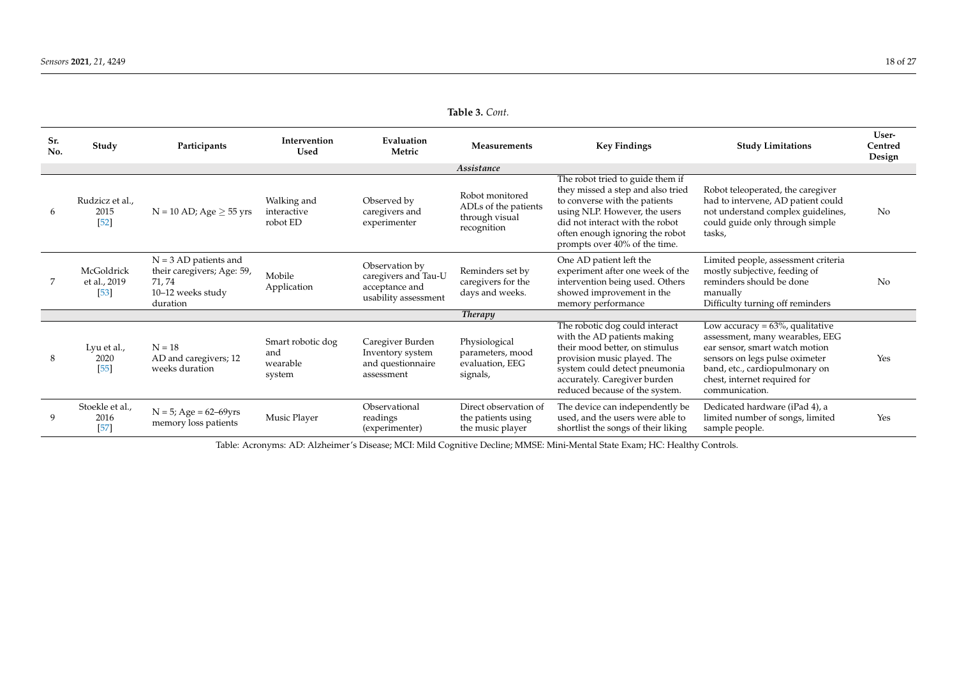| Sr.<br>No. | Study                                | Participants                                                                                     | Intervention<br><b>Used</b>                    | Evaluation<br>Metric                                                             | <b>Measurements</b>                                                      | <b>Key Findings</b>                                                                                                                                                                                                                            | <b>Study Limitations</b>                                                                                                                                                                                                       | User-<br>Centred<br>Design |
|------------|--------------------------------------|--------------------------------------------------------------------------------------------------|------------------------------------------------|----------------------------------------------------------------------------------|--------------------------------------------------------------------------|------------------------------------------------------------------------------------------------------------------------------------------------------------------------------------------------------------------------------------------------|--------------------------------------------------------------------------------------------------------------------------------------------------------------------------------------------------------------------------------|----------------------------|
|            |                                      |                                                                                                  |                                                |                                                                                  | Assistance                                                               |                                                                                                                                                                                                                                                |                                                                                                                                                                                                                                |                            |
| 6          | Rudzicz et al.,<br>2015<br>$[52]$    | $N = 10$ AD; Age $\geq 55$ yrs                                                                   | Walking and<br>interactive<br>robot ED         | Observed by<br>caregivers and<br>experimenter                                    | Robot monitored<br>ADLs of the patients<br>through visual<br>recognition | The robot tried to guide them if<br>they missed a step and also tried<br>to converse with the patients<br>using NLP. However, the users<br>did not interact with the robot<br>often enough ignoring the robot<br>prompts over 40% of the time. | Robot teleoperated, the caregiver<br>had to intervene, AD patient could<br>not understand complex guidelines,<br>could guide only through simple<br>tasks,                                                                     | No                         |
|            | McGoldrick<br>et al., 2019<br>$[53]$ | $N = 3 AD$ patients and<br>their caregivers; Age: 59,<br>71, 74<br>10-12 weeks study<br>duration | Mobile<br>Application                          | Observation by<br>caregivers and Tau-U<br>acceptance and<br>usability assessment | Reminders set by<br>caregivers for the<br>days and weeks.                | One AD patient left the<br>experiment after one week of the<br>intervention being used. Others<br>showed improvement in the<br>memory performance                                                                                              | Limited people, assessment criteria<br>mostly subjective, feeding of<br>reminders should be done<br>manually<br>Difficulty turning off reminders                                                                               | N <sub>0</sub>             |
|            |                                      |                                                                                                  |                                                |                                                                                  | <b>Therapy</b>                                                           |                                                                                                                                                                                                                                                |                                                                                                                                                                                                                                |                            |
| 8          | Lyu et al.,<br>2020<br>$[55]$        | $N = 18$<br>AD and caregivers; 12<br>weeks duration                                              | Smart robotic dog<br>and<br>wearable<br>system | Caregiver Burden<br>Inventory system<br>and questionnaire<br>assessment          | Physiological<br>parameters, mood<br>evaluation, EEG<br>signals,         | The robotic dog could interact<br>with the AD patients making<br>their mood better, on stimulus<br>provision music played. The<br>system could detect pneumonia<br>accurately. Caregiver burden<br>reduced because of the system.              | Low accuracy = $63\%$ , qualitative<br>assessment, many wearables, EEG<br>ear sensor, smart watch motion<br>sensors on legs pulse oximeter<br>band, etc., cardiopulmonary on<br>chest, internet required for<br>communication. | Yes                        |
|            | Stoekle et al.,<br>2016<br>[57]      | $N = 5$ ; Age = 62–69yrs<br>memory loss patients                                                 | Music Player                                   | Observational<br>readings<br>(experimenter)                                      | Direct observation of<br>the patients using<br>the music player          | The device can independently be<br>used, and the users were able to<br>shortlist the songs of their liking                                                                                                                                     | Dedicated hardware (iPad 4), a<br>limited number of songs, limited<br>sample people.                                                                                                                                           | Yes                        |

**Table 3.** *Cont.*

<span id="page-17-0"></span>Table: Acronyms: AD: Alzheimer's Disease; MCI: Mild Cognitive Decline; MMSE: Mini-Mental State Exam; HC: Healthy Controls.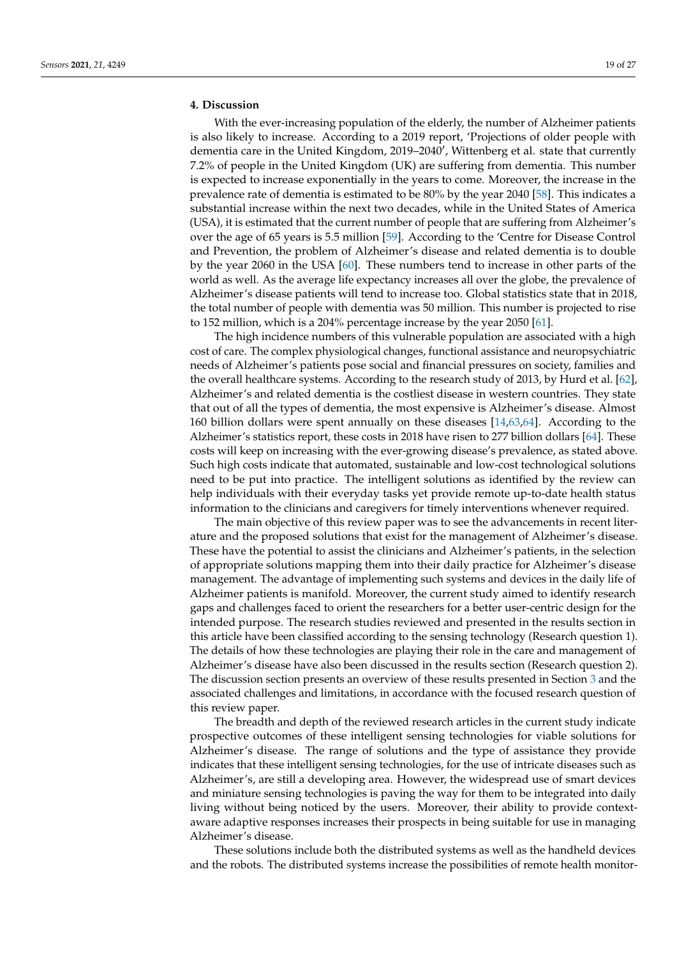# <span id="page-18-0"></span>**4. Discussion**

With the ever-increasing population of the elderly, the number of Alzheimer patients is also likely to increase. According to a 2019 report, 'Projections of older people with dementia care in the United Kingdom, 2019-2040', Wittenberg et al. state that currently 7.2% of people in the United Kingdom (UK) are suffering from dementia. This number is expected to increase exponentially in the years to come. Moreover, the increase in the prevalence rate of dementia is estimated to be 80% by the year 2040 [\[58\]](#page-26-6). This indicates a substantial increase within the next two decades, while in the United States of America (USA), it is estimated that the current number of people that are suffering from Alzheimer's over the age of 65 years is 5.5 million [\[59\]](#page-26-7). According to the 'Centre for Disease Control and Prevention, the problem of Alzheimer's disease and related dementia is to double by the year 2060 in the USA [\[60\]](#page-26-8). These numbers tend to increase in other parts of the world as well. As the average life expectancy increases all over the globe, the prevalence of Alzheimer's disease patients will tend to increase too. Global statistics state that in 2018, the total number of people with dementia was 50 million. This number is projected to rise to 152 million, which is a 204% percentage increase by the year 2050 [\[61\]](#page-26-9).

The high incidence numbers of this vulnerable population are associated with a high cost of care. The complex physiological changes, functional assistance and neuropsychiatric needs of Alzheimer's patients pose social and financial pressures on society, families and the overall healthcare systems. According to the research study of 2013, by Hurd et al. [\[62\]](#page-26-10), Alzheimer's and related dementia is the costliest disease in western countries. They state that out of all the types of dementia, the most expensive is Alzheimer's disease. Almost 160 billion dollars were spent annually on these diseases [\[14,](#page-24-11)[63,](#page-26-11)[64\]](#page-26-12). According to the Alzheimer's statistics report, these costs in 2018 have risen to 277 billion dollars [\[64\]](#page-26-12). These costs will keep on increasing with the ever-growing disease's prevalence, as stated above. Such high costs indicate that automated, sustainable and low-cost technological solutions need to be put into practice. The intelligent solutions as identified by the review can help individuals with their everyday tasks yet provide remote up-to-date health status information to the clinicians and caregivers for timely interventions whenever required.

The main objective of this review paper was to see the advancements in recent literature and the proposed solutions that exist for the management of Alzheimer's disease. These have the potential to assist the clinicians and Alzheimer's patients, in the selection of appropriate solutions mapping them into their daily practice for Alzheimer's disease management. The advantage of implementing such systems and devices in the daily life of Alzheimer patients is manifold. Moreover, the current study aimed to identify research gaps and challenges faced to orient the researchers for a better user-centric design for the intended purpose. The research studies reviewed and presented in the results section in this article have been classified according to the sensing technology (Research question 1). The details of how these technologies are playing their role in the care and management of Alzheimer's disease have also been discussed in the results section (Research question 2). The discussion section presents an overview of these results presented in Section [3](#page-4-0) and the associated challenges and limitations, in accordance with the focused research question of this review paper.

The breadth and depth of the reviewed research articles in the current study indicate prospective outcomes of these intelligent sensing technologies for viable solutions for Alzheimer's disease. The range of solutions and the type of assistance they provide indicates that these intelligent sensing technologies, for the use of intricate diseases such as Alzheimer's, are still a developing area. However, the widespread use of smart devices and miniature sensing technologies is paving the way for them to be integrated into daily living without being noticed by the users. Moreover, their ability to provide contextaware adaptive responses increases their prospects in being suitable for use in managing Alzheimer's disease.

These solutions include both the distributed systems as well as the handheld devices and the robots. The distributed systems increase the possibilities of remote health monitor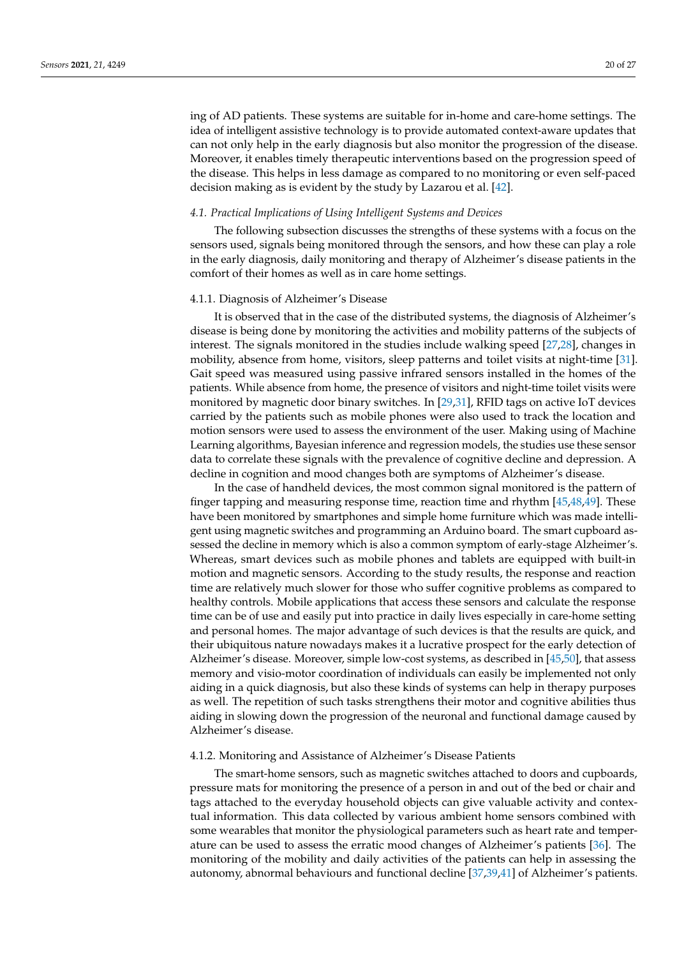ing of AD patients. These systems are suitable for in-home and care-home settings. The idea of intelligent assistive technology is to provide automated context-aware updates that can not only help in the early diagnosis but also monitor the progression of the disease. Moreover, it enables timely therapeutic interventions based on the progression speed of the disease. This helps in less damage as compared to no monitoring or even self-paced decision making as is evident by the study by Lazarou et al. [\[42\]](#page-25-14).

#### *4.1. Practical Implications of Using Intelligent Systems and Devices*

The following subsection discusses the strengths of these systems with a focus on the sensors used, signals being monitored through the sensors, and how these can play a role in the early diagnosis, daily monitoring and therapy of Alzheimer's disease patients in the comfort of their homes as well as in care home settings.

#### 4.1.1. Diagnosis of Alzheimer's Disease

It is observed that in the case of the distributed systems, the diagnosis of Alzheimer's disease is being done by monitoring the activities and mobility patterns of the subjects of interest. The signals monitored in the studies include walking speed [\[27](#page-24-25)[,28\]](#page-25-0), changes in mobility, absence from home, visitors, sleep patterns and toilet visits at night-time [\[31\]](#page-25-3). Gait speed was measured using passive infrared sensors installed in the homes of the patients. While absence from home, the presence of visitors and night-time toilet visits were monitored by magnetic door binary switches. In [\[29,](#page-25-1)[31\]](#page-25-3), RFID tags on active IoT devices carried by the patients such as mobile phones were also used to track the location and motion sensors were used to assess the environment of the user. Making using of Machine Learning algorithms, Bayesian inference and regression models, the studies use these sensor data to correlate these signals with the prevalence of cognitive decline and depression. A decline in cognition and mood changes both are symptoms of Alzheimer's disease.

In the case of handheld devices, the most common signal monitored is the pattern of finger tapping and measuring response time, reaction time and rhythm [\[45](#page-25-27)[,48](#page-25-30)[,49\]](#page-25-31). These have been monitored by smartphones and simple home furniture which was made intelligent using magnetic switches and programming an Arduino board. The smart cupboard assessed the decline in memory which is also a common symptom of early-stage Alzheimer's. Whereas, smart devices such as mobile phones and tablets are equipped with built-in motion and magnetic sensors. According to the study results, the response and reaction time are relatively much slower for those who suffer cognitive problems as compared to healthy controls. Mobile applications that access these sensors and calculate the response time can be of use and easily put into practice in daily lives especially in care-home setting and personal homes. The major advantage of such devices is that the results are quick, and their ubiquitous nature nowadays makes it a lucrative prospect for the early detection of Alzheimer's disease. Moreover, simple low-cost systems, as described in [\[45,](#page-25-27)[50\]](#page-25-32), that assess memory and visio-motor coordination of individuals can easily be implemented not only aiding in a quick diagnosis, but also these kinds of systems can help in therapy purposes as well. The repetition of such tasks strengthens their motor and cognitive abilities thus aiding in slowing down the progression of the neuronal and functional damage caused by Alzheimer's disease.

# 4.1.2. Monitoring and Assistance of Alzheimer's Disease Patients

The smart-home sensors, such as magnetic switches attached to doors and cupboards, pressure mats for monitoring the presence of a person in and out of the bed or chair and tags attached to the everyday household objects can give valuable activity and contextual information. This data collected by various ambient home sensors combined with some wearables that monitor the physiological parameters such as heart rate and temperature can be used to assess the erratic mood changes of Alzheimer's patients [\[36\]](#page-25-8). The monitoring of the mobility and daily activities of the patients can help in assessing the autonomy, abnormal behaviours and functional decline [\[37](#page-25-9)[,39](#page-25-11)[,41\]](#page-25-13) of Alzheimer's patients.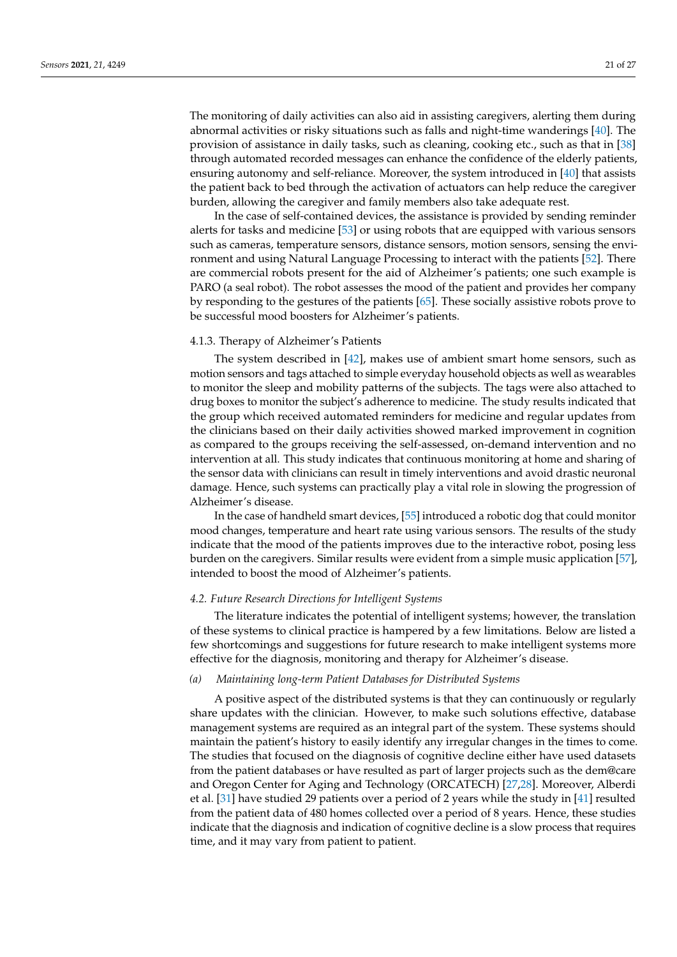The monitoring of daily activities can also aid in assisting caregivers, alerting them during abnormal activities or risky situations such as falls and night-time wanderings [\[40\]](#page-25-12). The provision of assistance in daily tasks, such as cleaning, cooking etc., such as that in [\[38\]](#page-25-10) through automated recorded messages can enhance the confidence of the elderly patients, ensuring autonomy and self-reliance. Moreover, the system introduced in [\[40\]](#page-25-12) that assists the patient back to bed through the activation of actuators can help reduce the caregiver burden, allowing the caregiver and family members also take adequate rest.

In the case of self-contained devices, the assistance is provided by sending reminder alerts for tasks and medicine [\[53\]](#page-25-35) or using robots that are equipped with various sensors such as cameras, temperature sensors, distance sensors, motion sensors, sensing the environment and using Natural Language Processing to interact with the patients [\[52\]](#page-25-34). There are commercial robots present for the aid of Alzheimer's patients; one such example is PARO (a seal robot). The robot assesses the mood of the patient and provides her company by responding to the gestures of the patients [\[65\]](#page-26-13). These socially assistive robots prove to be successful mood boosters for Alzheimer's patients.

# 4.1.3. Therapy of Alzheimer's Patients

The system described in [\[42\]](#page-25-14), makes use of ambient smart home sensors, such as motion sensors and tags attached to simple everyday household objects as well as wearables to monitor the sleep and mobility patterns of the subjects. The tags were also attached to drug boxes to monitor the subject's adherence to medicine. The study results indicated that the group which received automated reminders for medicine and regular updates from the clinicians based on their daily activities showed marked improvement in cognition as compared to the groups receiving the self-assessed, on-demand intervention and no intervention at all. This study indicates that continuous monitoring at home and sharing of the sensor data with clinicians can result in timely interventions and avoid drastic neuronal damage. Hence, such systems can practically play a vital role in slowing the progression of Alzheimer's disease.

In the case of handheld smart devices, [\[55\]](#page-26-1) introduced a robotic dog that could monitor mood changes, temperature and heart rate using various sensors. The results of the study indicate that the mood of the patients improves due to the interactive robot, posing less burden on the caregivers. Similar results were evident from a simple music application [\[57\]](#page-26-3), intended to boost the mood of Alzheimer's patients.

#### *4.2. Future Research Directions for Intelligent Systems*

The literature indicates the potential of intelligent systems; however, the translation of these systems to clinical practice is hampered by a few limitations. Below are listed a few shortcomings and suggestions for future research to make intelligent systems more effective for the diagnosis, monitoring and therapy for Alzheimer's disease.

# *(a) Maintaining long-term Patient Databases for Distributed Systems*

A positive aspect of the distributed systems is that they can continuously or regularly share updates with the clinician. However, to make such solutions effective, database management systems are required as an integral part of the system. These systems should maintain the patient's history to easily identify any irregular changes in the times to come. The studies that focused on the diagnosis of cognitive decline either have used datasets from the patient databases or have resulted as part of larger projects such as the dem@care and Oregon Center for Aging and Technology (ORCATECH) [\[27](#page-24-25)[,28\]](#page-25-0). Moreover, Alberdi et al. [\[31\]](#page-25-3) have studied 29 patients over a period of 2 years while the study in [\[41\]](#page-25-13) resulted from the patient data of 480 homes collected over a period of 8 years. Hence, these studies indicate that the diagnosis and indication of cognitive decline is a slow process that requires time, and it may vary from patient to patient.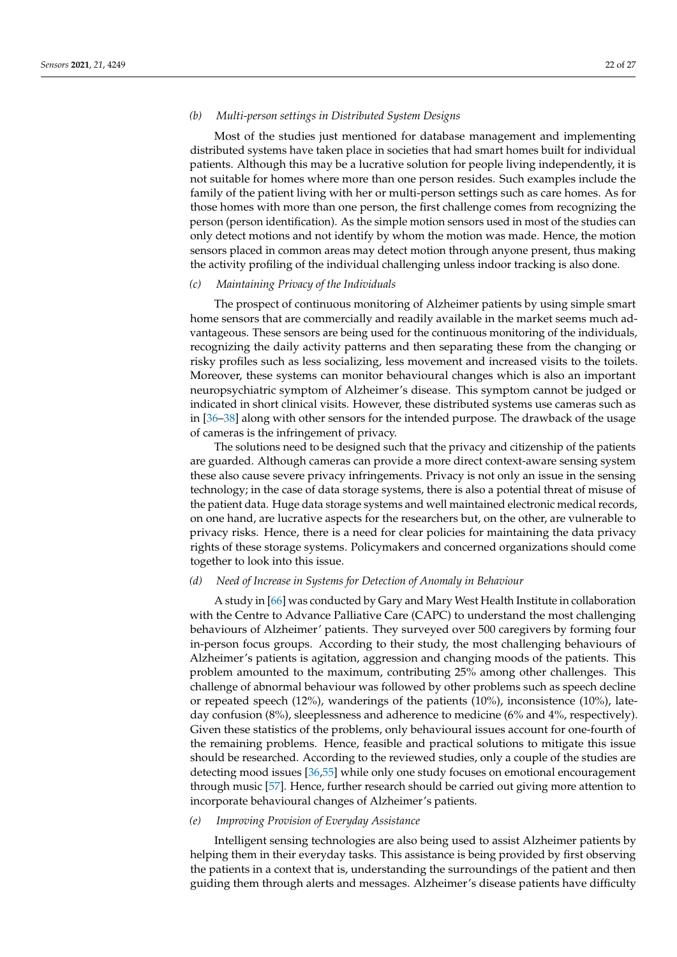# *(b) Multi-person settings in Distributed System Designs*

Most of the studies just mentioned for database management and implementing distributed systems have taken place in societies that had smart homes built for individual patients. Although this may be a lucrative solution for people living independently, it is not suitable for homes where more than one person resides. Such examples include the family of the patient living with her or multi-person settings such as care homes. As for those homes with more than one person, the first challenge comes from recognizing the person (person identification). As the simple motion sensors used in most of the studies can only detect motions and not identify by whom the motion was made. Hence, the motion sensors placed in common areas may detect motion through anyone present, thus making the activity profiling of the individual challenging unless indoor tracking is also done.

## *(c) Maintaining Privacy of the Individuals*

The prospect of continuous monitoring of Alzheimer patients by using simple smart home sensors that are commercially and readily available in the market seems much advantageous. These sensors are being used for the continuous monitoring of the individuals, recognizing the daily activity patterns and then separating these from the changing or risky profiles such as less socializing, less movement and increased visits to the toilets. Moreover, these systems can monitor behavioural changes which is also an important neuropsychiatric symptom of Alzheimer's disease. This symptom cannot be judged or indicated in short clinical visits. However, these distributed systems use cameras such as in [\[36–](#page-25-8)[38\]](#page-25-10) along with other sensors for the intended purpose. The drawback of the usage of cameras is the infringement of privacy.

The solutions need to be designed such that the privacy and citizenship of the patients are guarded. Although cameras can provide a more direct context-aware sensing system these also cause severe privacy infringements. Privacy is not only an issue in the sensing technology; in the case of data storage systems, there is also a potential threat of misuse of the patient data. Huge data storage systems and well maintained electronic medical records, on one hand, are lucrative aspects for the researchers but, on the other, are vulnerable to privacy risks. Hence, there is a need for clear policies for maintaining the data privacy rights of these storage systems. Policymakers and concerned organizations should come together to look into this issue.

# *(d) Need of Increase in Systems for Detection of Anomaly in Behaviour*

A study in [\[66\]](#page-26-14) was conducted by Gary and Mary West Health Institute in collaboration with the Centre to Advance Palliative Care (CAPC) to understand the most challenging behaviours of Alzheimer' patients. They surveyed over 500 caregivers by forming four in-person focus groups. According to their study, the most challenging behaviours of Alzheimer's patients is agitation, aggression and changing moods of the patients. This problem amounted to the maximum, contributing 25% among other challenges. This challenge of abnormal behaviour was followed by other problems such as speech decline or repeated speech (12%), wanderings of the patients (10%), inconsistence (10%), lateday confusion (8%), sleeplessness and adherence to medicine (6% and 4%, respectively). Given these statistics of the problems, only behavioural issues account for one-fourth of the remaining problems. Hence, feasible and practical solutions to mitigate this issue should be researched. According to the reviewed studies, only a couple of the studies are detecting mood issues [\[36,](#page-25-8)[55\]](#page-26-1) while only one study focuses on emotional encouragement through music [\[57\]](#page-26-3). Hence, further research should be carried out giving more attention to incorporate behavioural changes of Alzheimer's patients.

## *(e) Improving Provision of Everyday Assistance*

Intelligent sensing technologies are also being used to assist Alzheimer patients by helping them in their everyday tasks. This assistance is being provided by first observing the patients in a context that is, understanding the surroundings of the patient and then guiding them through alerts and messages. Alzheimer's disease patients have difficulty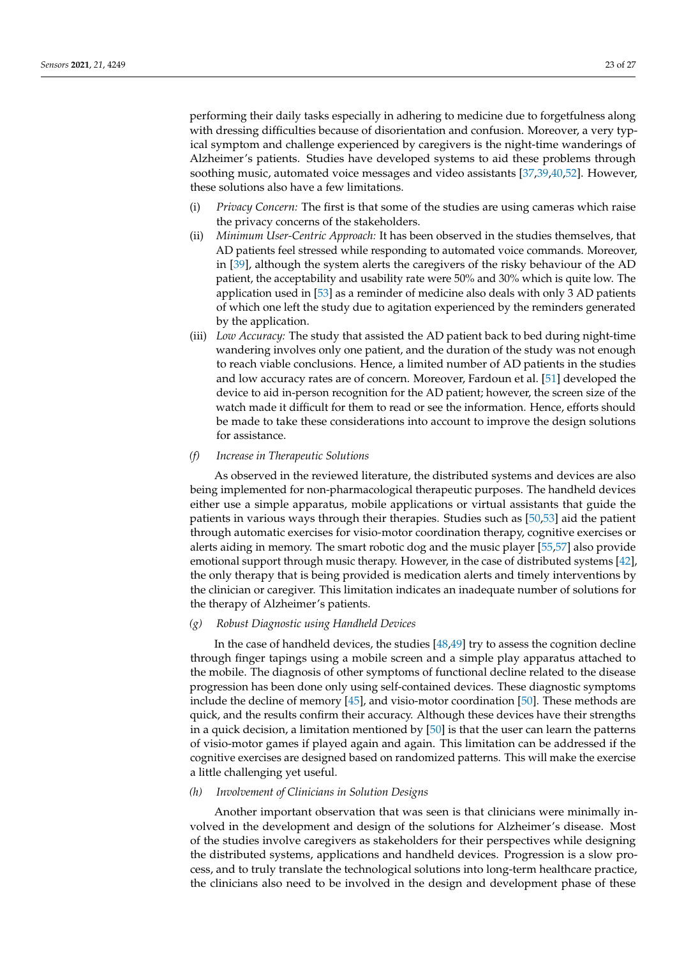performing their daily tasks especially in adhering to medicine due to forgetfulness along with dressing difficulties because of disorientation and confusion. Moreover, a very typical symptom and challenge experienced by caregivers is the night-time wanderings of Alzheimer's patients. Studies have developed systems to aid these problems through soothing music, automated voice messages and video assistants [\[37](#page-25-9)[,39](#page-25-11)[,40](#page-25-12)[,52\]](#page-25-34). However, these solutions also have a few limitations.

- (i) *Privacy Concern:* The first is that some of the studies are using cameras which raise the privacy concerns of the stakeholders.
- (ii) *Minimum User-Centric Approach:* It has been observed in the studies themselves, that AD patients feel stressed while responding to automated voice commands. Moreover, in [\[39\]](#page-25-11), although the system alerts the caregivers of the risky behaviour of the AD patient, the acceptability and usability rate were 50% and 30% which is quite low. The application used in [\[53\]](#page-25-35) as a reminder of medicine also deals with only 3 AD patients of which one left the study due to agitation experienced by the reminders generated by the application.
- (iii) *Low Accuracy:* The study that assisted the AD patient back to bed during night-time wandering involves only one patient, and the duration of the study was not enough to reach viable conclusions. Hence, a limited number of AD patients in the studies and low accuracy rates are of concern. Moreover, Fardoun et al. [\[51\]](#page-25-33) developed the device to aid in-person recognition for the AD patient; however, the screen size of the watch made it difficult for them to read or see the information. Hence, efforts should be made to take these considerations into account to improve the design solutions for assistance.

## *(f) Increase in Therapeutic Solutions*

As observed in the reviewed literature, the distributed systems and devices are also being implemented for non-pharmacological therapeutic purposes. The handheld devices either use a simple apparatus, mobile applications or virtual assistants that guide the patients in various ways through their therapies. Studies such as [\[50](#page-25-32)[,53\]](#page-25-35) aid the patient through automatic exercises for visio-motor coordination therapy, cognitive exercises or alerts aiding in memory. The smart robotic dog and the music player [\[55,](#page-26-1)[57\]](#page-26-3) also provide emotional support through music therapy. However, in the case of distributed systems [\[42\]](#page-25-14), the only therapy that is being provided is medication alerts and timely interventions by the clinician or caregiver. This limitation indicates an inadequate number of solutions for the therapy of Alzheimer's patients.

#### *(g) Robust Diagnostic using Handheld Devices*

In the case of handheld devices, the studies [\[48,](#page-25-30)[49\]](#page-25-31) try to assess the cognition decline through finger tapings using a mobile screen and a simple play apparatus attached to the mobile. The diagnosis of other symptoms of functional decline related to the disease progression has been done only using self-contained devices. These diagnostic symptoms include the decline of memory [\[45\]](#page-25-27), and visio-motor coordination [\[50\]](#page-25-32). These methods are quick, and the results confirm their accuracy. Although these devices have their strengths in a quick decision, a limitation mentioned by [\[50\]](#page-25-32) is that the user can learn the patterns of visio-motor games if played again and again. This limitation can be addressed if the cognitive exercises are designed based on randomized patterns. This will make the exercise a little challenging yet useful.

# *(h) Involvement of Clinicians in Solution Designs*

Another important observation that was seen is that clinicians were minimally involved in the development and design of the solutions for Alzheimer's disease. Most of the studies involve caregivers as stakeholders for their perspectives while designing the distributed systems, applications and handheld devices. Progression is a slow process, and to truly translate the technological solutions into long-term healthcare practice, the clinicians also need to be involved in the design and development phase of these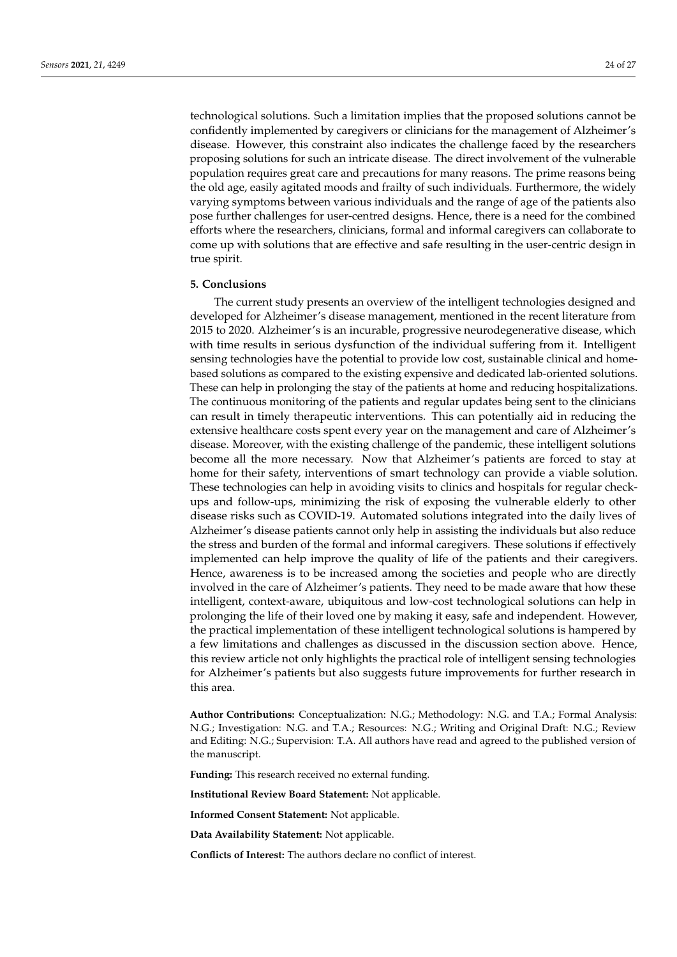technological solutions. Such a limitation implies that the proposed solutions cannot be confidently implemented by caregivers or clinicians for the management of Alzheimer's disease. However, this constraint also indicates the challenge faced by the researchers proposing solutions for such an intricate disease. The direct involvement of the vulnerable population requires great care and precautions for many reasons. The prime reasons being the old age, easily agitated moods and frailty of such individuals. Furthermore, the widely varying symptoms between various individuals and the range of age of the patients also pose further challenges for user-centred designs. Hence, there is a need for the combined efforts where the researchers, clinicians, formal and informal caregivers can collaborate to come up with solutions that are effective and safe resulting in the user-centric design in true spirit.

## <span id="page-23-0"></span>**5. Conclusions**

The current study presents an overview of the intelligent technologies designed and developed for Alzheimer's disease management, mentioned in the recent literature from 2015 to 2020. Alzheimer's is an incurable, progressive neurodegenerative disease, which with time results in serious dysfunction of the individual suffering from it. Intelligent sensing technologies have the potential to provide low cost, sustainable clinical and homebased solutions as compared to the existing expensive and dedicated lab-oriented solutions. These can help in prolonging the stay of the patients at home and reducing hospitalizations. The continuous monitoring of the patients and regular updates being sent to the clinicians can result in timely therapeutic interventions. This can potentially aid in reducing the extensive healthcare costs spent every year on the management and care of Alzheimer's disease. Moreover, with the existing challenge of the pandemic, these intelligent solutions become all the more necessary. Now that Alzheimer's patients are forced to stay at home for their safety, interventions of smart technology can provide a viable solution. These technologies can help in avoiding visits to clinics and hospitals for regular checkups and follow-ups, minimizing the risk of exposing the vulnerable elderly to other disease risks such as COVID-19. Automated solutions integrated into the daily lives of Alzheimer's disease patients cannot only help in assisting the individuals but also reduce the stress and burden of the formal and informal caregivers. These solutions if effectively implemented can help improve the quality of life of the patients and their caregivers. Hence, awareness is to be increased among the societies and people who are directly involved in the care of Alzheimer's patients. They need to be made aware that how these intelligent, context-aware, ubiquitous and low-cost technological solutions can help in prolonging the life of their loved one by making it easy, safe and independent. However, the practical implementation of these intelligent technological solutions is hampered by a few limitations and challenges as discussed in the discussion section above. Hence, this review article not only highlights the practical role of intelligent sensing technologies for Alzheimer's patients but also suggests future improvements for further research in this area.

**Author Contributions:** Conceptualization: N.G.; Methodology: N.G. and T.A.; Formal Analysis: N.G.; Investigation: N.G. and T.A.; Resources: N.G.; Writing and Original Draft: N.G.; Review and Editing: N.G.; Supervision: T.A. All authors have read and agreed to the published version of the manuscript.

**Funding:** This research received no external funding.

**Institutional Review Board Statement:** Not applicable.

**Informed Consent Statement:** Not applicable.

**Data Availability Statement:** Not applicable.

**Conflicts of Interest:** The authors declare no conflict of interest.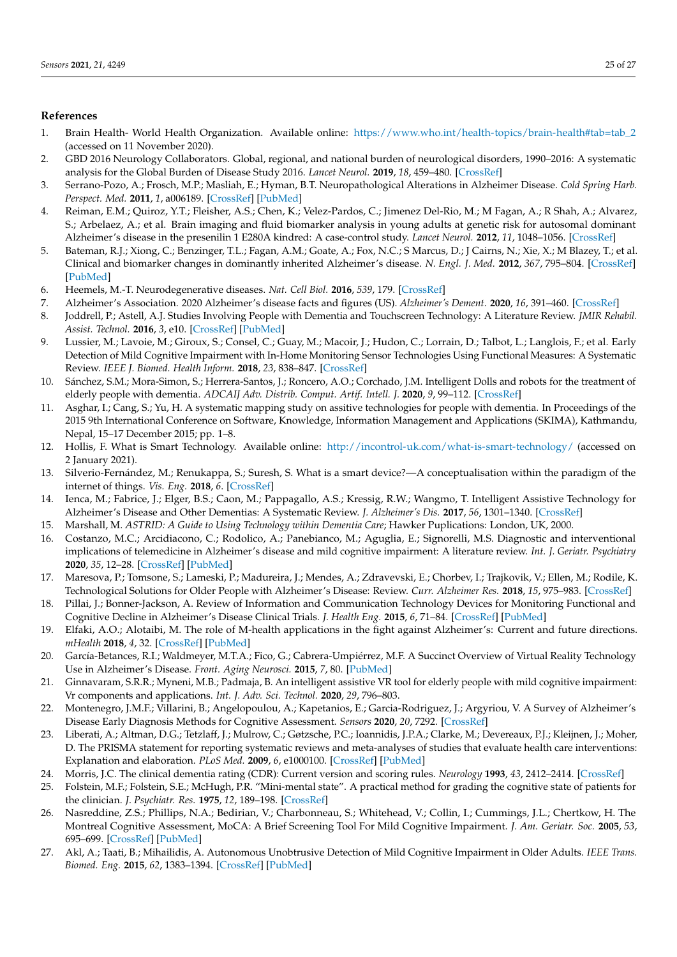# **References**

- <span id="page-24-0"></span>1. Brain Health- World Health Organization. Available online: [https://www.who.int/health-topics/brain-health#tab=tab\\_2](https://www.who.int/health-topics/brain-health#tab=tab_2) (accessed on 11 November 2020).
- <span id="page-24-1"></span>2. GBD 2016 Neurology Collaborators. Global, regional, and national burden of neurological disorders, 1990–2016: A systematic analysis for the Global Burden of Disease Study 2016. *Lancet Neurol.* **2019**, *18*, 459–480. [\[CrossRef\]](http://doi.org/10.1016/S1474-4422(18)30499-X)
- <span id="page-24-2"></span>3. Serrano-Pozo, A.; Frosch, M.P.; Masliah, E.; Hyman, B.T. Neuropathological Alterations in Alzheimer Disease. *Cold Spring Harb. Perspect. Med.* **2011**, *1*, a006189. [\[CrossRef\]](http://doi.org/10.1101/cshperspect.a006189) [\[PubMed\]](http://www.ncbi.nlm.nih.gov/pubmed/22229116)
- <span id="page-24-3"></span>4. Reiman, E.M.; Quiroz, Y.T.; Fleisher, A.S.; Chen, K.; Velez-Pardos, C.; Jimenez Del-Rio, M.; M Fagan, A.; R Shah, A.; Alvarez, S.; Arbelaez, A.; et al. Brain imaging and fluid biomarker analysis in young adults at genetic risk for autosomal dominant Alzheimer's disease in the presenilin 1 E280A kindred: A case-control study. *Lancet Neurol.* **2012**, *11*, 1048–1056. [\[CrossRef\]](http://doi.org/10.1016/S1474-4422(12)70228-4)
- <span id="page-24-4"></span>5. Bateman, R.J.; Xiong, C.; Benzinger, T.L.; Fagan, A.M.; Goate, A.; Fox, N.C.; S Marcus, D.; J Cairns, N.; Xie, X.; M Blazey, T.; et al. Clinical and biomarker changes in dominantly inherited Alzheimer's disease. *N. Engl. J. Med.* **2012**, *367*, 795–804. [\[CrossRef\]](http://doi.org/10.1056/NEJMoa1202753) [\[PubMed\]](http://www.ncbi.nlm.nih.gov/pubmed/22784036)
- <span id="page-24-5"></span>6. Heemels, M.-T. Neurodegenerative diseases. *Nat. Cell Biol.* **2016**, *539*, 179. [\[CrossRef\]](http://doi.org/10.1038/539179a)
- <span id="page-24-6"></span>7. Alzheimer's Association. 2020 Alzheimer's disease facts and figures (US). *Alzheimer's Dement.* **2020**, *16*, 391–460. [\[CrossRef\]](http://doi.org/10.1002/alz.12068)
- <span id="page-24-7"></span>8. Joddrell, P.; Astell, A.J. Studies Involving People with Dementia and Touchscreen Technology: A Literature Review. *JMIR Rehabil. Assist. Technol.* **2016**, *3*, e10. [\[CrossRef\]](http://doi.org/10.2196/rehab.5788) [\[PubMed\]](http://www.ncbi.nlm.nih.gov/pubmed/28582254)
- <span id="page-24-19"></span>9. Lussier, M.; Lavoie, M.; Giroux, S.; Consel, C.; Guay, M.; Macoir, J.; Hudon, C.; Lorrain, D.; Talbot, L.; Langlois, F.; et al. Early Detection of Mild Cognitive Impairment with In-Home Monitoring Sensor Technologies Using Functional Measures: A Systematic Review. *IEEE J. Biomed. Health Inform.* **2018**, *23*, 838–847. [\[CrossRef\]](http://doi.org/10.1109/JBHI.2018.2834317)
- <span id="page-24-8"></span>10. Sánchez, S.M.; Mora-Simon, S.; Herrera-Santos, J.; Roncero, A.O.; Corchado, J.M. Intelligent Dolls and robots for the treatment of elderly people with dementia. *ADCAIJ Adv. Distrib. Comput. Artif. Intell. J.* **2020**, *9*, 99–112. [\[CrossRef\]](http://doi.org/10.14201/ADCAIJ20209199112)
- <span id="page-24-9"></span>11. Asghar, I.; Cang, S.; Yu, H. A systematic mapping study on assitive technologies for people with dementia. In Proceedings of the 2015 9th International Conference on Software, Knowledge, Information Management and Applications (SKIMA), Kathmandu, Nepal, 15–17 December 2015; pp. 1–8.
- <span id="page-24-10"></span>12. Hollis, F. What is Smart Technology. Available online: <http://incontrol-uk.com/what-is-smart-technology/> (accessed on 2 January 2021).
- 13. Silverio-Fernández, M.; Renukappa, S.; Suresh, S. What is a smart device?—A conceptualisation within the paradigm of the internet of things. *Vis. Eng.* **2018**, *6*. [\[CrossRef\]](http://doi.org/10.1186/s40327-018-0063-8)
- <span id="page-24-11"></span>14. Ienca, M.; Fabrice, J.; Elger, B.S.; Caon, M.; Pappagallo, A.S.; Kressig, R.W.; Wangmo, T. Intelligent Assistive Technology for Alzheimer's Disease and Other Dementias: A Systematic Review. *J. Alzheimer's Dis.* **2017**, *56*, 1301–1340. [\[CrossRef\]](http://doi.org/10.3233/JAD-161037)
- <span id="page-24-12"></span>15. Marshall, M. *ASTRID: A Guide to Using Technology within Dementia Care*; Hawker Puplications: London, UK, 2000.
- <span id="page-24-13"></span>16. Costanzo, M.C.; Arcidiacono, C.; Rodolico, A.; Panebianco, M.; Aguglia, E.; Signorelli, M.S. Diagnostic and interventional implications of telemedicine in Alzheimer's disease and mild cognitive impairment: A literature review. *Int. J. Geriatr. Psychiatry* **2020**, *35*, 12–28. [\[CrossRef\]](http://doi.org/10.1002/gps.5219) [\[PubMed\]](http://www.ncbi.nlm.nih.gov/pubmed/31617247)
- <span id="page-24-26"></span><span id="page-24-14"></span>17. Maresova, P.; Tomsone, S.; Lameski, P.; Madureira, J.; Mendes, A.; Zdravevski, E.; Chorbev, I.; Trajkovik, V.; Ellen, M.; Rodile, K. Technological Solutions for Older People with Alzheimer's Disease: Review. *Curr. Alzheimer Res.* **2018**, *15*, 975–983. [\[CrossRef\]](http://doi.org/10.2174/1567205015666180427124547)
- <span id="page-24-15"></span>18. Pillai, J.; Bonner-Jackson, A. Review of Information and Communication Technology Devices for Monitoring Functional and Cognitive Decline in Alzheimer's Disease Clinical Trials. *J. Health Eng.* **2015**, *6*, 71–84. [\[CrossRef\]](http://doi.org/10.1260/2040-2295.6.1.71) [\[PubMed\]](http://www.ncbi.nlm.nih.gov/pubmed/25708378)
- <span id="page-24-16"></span>19. Elfaki, A.O.; Alotaibi, M. The role of M-health applications in the fight against Alzheimer's: Current and future directions. *mHealth* **2018**, *4*, 32. [\[CrossRef\]](http://doi.org/10.21037/mhealth.2018.07.03) [\[PubMed\]](http://www.ncbi.nlm.nih.gov/pubmed/30225239)
- <span id="page-24-17"></span>20. García-Betances, R.I.; Waldmeyer, M.T.A.; Fico, G.; Cabrera-Umpiérrez, M.F. A Succinct Overview of Virtual Reality Technology Use in Alzheimer's Disease. *Front. Aging Neurosci.* **2015**, *7*, 80. [\[PubMed\]](http://www.ncbi.nlm.nih.gov/pubmed/26029101)
- <span id="page-24-18"></span>21. Ginnavaram, S.R.R.; Myneni, M.B.; Padmaja, B. An intelligent assistive VR tool for elderly people with mild cognitive impairment: Vr components and applications. *Int. J. Adv. Sci. Technol.* **2020**, *29*, 796–803.
- <span id="page-24-20"></span>22. Montenegro, J.M.F.; Villarini, B.; Angelopoulou, A.; Kapetanios, E.; Garcia-Rodriguez, J.; Argyriou, V. A Survey of Alzheimer's Disease Early Diagnosis Methods for Cognitive Assessment. *Sensors* **2020**, *20*, 7292. [\[CrossRef\]](http://doi.org/10.3390/s20247292)
- <span id="page-24-21"></span>23. Liberati, A.; Altman, D.G.; Tetzlaff, J.; Mulrow, C.; Gøtzsche, P.C.; Ioannidis, J.P.A.; Clarke, M.; Devereaux, P.J.; Kleijnen, J.; Moher, D. The PRISMA statement for reporting systematic reviews and meta-analyses of studies that evaluate health care interventions: Explanation and elaboration. *PLoS Med.* **2009**, *6*, e1000100. [\[CrossRef\]](http://doi.org/10.1371/journal.pmed.1000100) [\[PubMed\]](http://www.ncbi.nlm.nih.gov/pubmed/19621070)
- <span id="page-24-22"></span>24. Morris, J.C. The clinical dementia rating (CDR): Current version and scoring rules. *Neurology* **1993**, *43*, 2412–2414. [\[CrossRef\]](http://doi.org/10.1212/WNL.43.11.2412-a)
- <span id="page-24-23"></span>25. Folstein, M.F.; Folstein, S.E.; McHugh, P.R. "Mini-mental state". A practical method for grading the cognitive state of patients for the clinician. *J. Psychiatr. Res.* **1975**, *12*, 189–198. [\[CrossRef\]](http://doi.org/10.1016/0022-3956(75)90026-6)
- <span id="page-24-24"></span>26. Nasreddine, Z.S.; Phillips, N.A.; Bedirian, V.; Charbonneau, S.; Whitehead, V.; Collin, I.; Cummings, J.L.; Chertkow, H. The Montreal Cognitive Assessment, MoCA: A Brief Screening Tool For Mild Cognitive Impairment. *J. Am. Geriatr. Soc.* **2005**, *53*, 695–699. [\[CrossRef\]](http://doi.org/10.1111/j.1532-5415.2005.53221.x) [\[PubMed\]](http://www.ncbi.nlm.nih.gov/pubmed/15817019)
- <span id="page-24-25"></span>27. Akl, A.; Taati, B.; Mihailidis, A. Autonomous Unobtrusive Detection of Mild Cognitive Impairment in Older Adults. *IEEE Trans. Biomed. Eng.* **2015**, *62*, 1383–1394. [\[CrossRef\]](http://doi.org/10.1109/TBME.2015.2389149) [\[PubMed\]](http://www.ncbi.nlm.nih.gov/pubmed/25585407)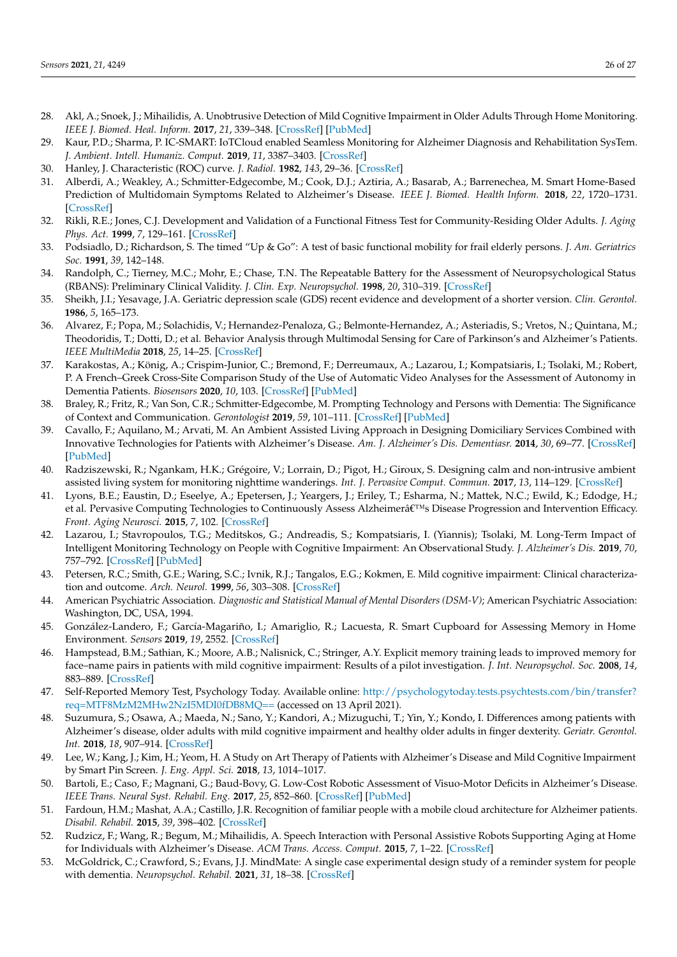- <span id="page-25-22"></span><span id="page-25-21"></span><span id="page-25-20"></span><span id="page-25-19"></span><span id="page-25-18"></span><span id="page-25-17"></span><span id="page-25-0"></span>28. Akl, A.; Snoek, J.; Mihailidis, A. Unobtrusive Detection of Mild Cognitive Impairment in Older Adults Through Home Monitoring. *IEEE J. Biomed. Heal. Inform.* **2017**, *21*, 339–348. [\[CrossRef\]](http://doi.org/10.1109/JBHI.2015.2512273) [\[PubMed\]](http://www.ncbi.nlm.nih.gov/pubmed/26841424)
- <span id="page-25-23"></span><span id="page-25-1"></span>29. Kaur, P.D.; Sharma, P. IC-SMART: IoTCloud enabled Seamless Monitoring for Alzheimer Diagnosis and Rehabilitation SysTem. *J. Ambient. Intell. Humaniz. Comput.* **2019**, *11*, 3387–3403. [\[CrossRef\]](http://doi.org/10.1007/s12652-019-01534-5)
- <span id="page-25-2"></span>30. Hanley, J. Characteristic (ROC) curve. *J. Radiol.* **1982**, *143*, 29–36. [\[CrossRef\]](http://doi.org/10.1148/radiology.143.1.7063747)
- <span id="page-25-24"></span><span id="page-25-3"></span>31. Alberdi, A.; Weakley, A.; Schmitter-Edgecombe, M.; Cook, D.J.; Aztiria, A.; Basarab, A.; Barrenechea, M. Smart Home-Based Prediction of Multidomain Symptoms Related to Alzheimer's Disease. *IEEE J. Biomed. Health Inform.* **2018**, *22*, 1720–1731. [\[CrossRef\]](http://doi.org/10.1109/JBHI.2018.2798062)
- <span id="page-25-25"></span><span id="page-25-4"></span>32. Rikli, R.E.; Jones, C.J. Development and Validation of a Functional Fitness Test for Community-Residing Older Adults. *J. Aging Phys. Act.* **1999**, *7*, 129–161. [\[CrossRef\]](http://doi.org/10.1123/japa.7.2.129)
- <span id="page-25-26"></span><span id="page-25-5"></span>33. Podsiadlo, D.; Richardson, S. The timed "Up & Go": A test of basic functional mobility for frail elderly persons. *J. Am. Geriatrics Soc.* **1991**, *39*, 142–148.
- <span id="page-25-6"></span>34. Randolph, C.; Tierney, M.C.; Mohr, E.; Chase, T.N. The Repeatable Battery for the Assessment of Neuropsychological Status (RBANS): Preliminary Clinical Validity. *J. Clin. Exp. Neuropsychol.* **1998**, *20*, 310–319. [\[CrossRef\]](http://doi.org/10.1076/jcen.20.3.310.823)
- <span id="page-25-7"></span>35. Sheikh, J.I.; Yesavage, J.A. Geriatric depression scale (GDS) recent evidence and development of a shorter version. *Clin. Gerontol.* **1986**, *5*, 165–173.
- <span id="page-25-36"></span><span id="page-25-8"></span>36. Alvarez, F.; Popa, M.; Solachidis, V.; Hernandez-Penaloza, G.; Belmonte-Hernandez, A.; Asteriadis, S.; Vretos, N.; Quintana, M.; Theodoridis, T.; Dotti, D.; et al. Behavior Analysis through Multimodal Sensing for Care of Parkinson's and Alzheimer's Patients. *IEEE MultiMedia* **2018**, *25*, 14–25. [\[CrossRef\]](http://doi.org/10.1109/MMUL.2018.011921232)
- <span id="page-25-9"></span>37. Karakostas, A.; König, A.; Crispim-Junior, C.; Bremond, F.; Derreumaux, A.; Lazarou, I.; Kompatsiaris, I.; Tsolaki, M.; Robert, P. A French–Greek Cross-Site Comparison Study of the Use of Automatic Video Analyses for the Assessment of Autonomy in Dementia Patients. *Biosensors* **2020**, *10*, 103. [\[CrossRef\]](http://doi.org/10.3390/bios10090103) [\[PubMed\]](http://www.ncbi.nlm.nih.gov/pubmed/32825735)
- <span id="page-25-10"></span>38. Braley, R.; Fritz, R.; Van Son, C.R.; Schmitter-Edgecombe, M. Prompting Technology and Persons with Dementia: The Significance of Context and Communication. *Gerontologist* **2019**, *59*, 101–111. [\[CrossRef\]](http://doi.org/10.1093/geront/gny071) [\[PubMed\]](http://www.ncbi.nlm.nih.gov/pubmed/29897450)
- <span id="page-25-37"></span><span id="page-25-11"></span>39. Cavallo, F.; Aquilano, M.; Arvati, M. An Ambient Assisted Living Approach in Designing Domiciliary Services Combined with Innovative Technologies for Patients with Alzheimer's Disease. *Am. J. Alzheimer's Dis. Dementiasr.* **2014**, *30*, 69–77. [\[CrossRef\]](http://doi.org/10.1177/1533317514539724) [\[PubMed\]](http://www.ncbi.nlm.nih.gov/pubmed/24951634)
- <span id="page-25-38"></span><span id="page-25-12"></span>40. Radziszewski, R.; Ngankam, H.K.; Grégoire, V.; Lorrain, D.; Pigot, H.; Giroux, S. Designing calm and non-intrusive ambient assisted living system for monitoring nighttime wanderings. *Int. J. Pervasive Comput. Commun.* **2017**, *13*, 114–129. [\[CrossRef\]](http://doi.org/10.1108/IJPCC-02-2017-0015)
- <span id="page-25-39"></span><span id="page-25-13"></span>41. Lyons, B.E.; Eaustin, D.; Eseelye, A.; Epetersen, J.; Yeargers, J.; Eriley, T.; Esharma, N.; Mattek, N.C.; Ewild, K.; Edodge, H.; et al. Pervasive Computing Technologies to Continuously Assess Alzheimerâ€™s Disease Progression and Intervention Efficacy. *Front. Aging Neurosci.* **2015**, *7*, 102. [\[CrossRef\]](http://doi.org/10.3389/fnagi.2015.00102)
- <span id="page-25-41"></span><span id="page-25-40"></span><span id="page-25-14"></span>42. Lazarou, I.; Stavropoulos, T.G.; Meditskos, G.; Andreadis, S.; Kompatsiaris, I. (Yiannis); Tsolaki, M. Long-Term Impact of Intelligent Monitoring Technology on People with Cognitive Impairment: An Observational Study. *J. Alzheimer's Dis.* **2019**, *70*, 757–792. [\[CrossRef\]](http://doi.org/10.3233/JAD-190423) [\[PubMed\]](http://www.ncbi.nlm.nih.gov/pubmed/31256141)
- <span id="page-25-42"></span><span id="page-25-15"></span>43. Petersen, R.C.; Smith, G.E.; Waring, S.C.; Ivnik, R.J.; Tangalos, E.G.; Kokmen, E. Mild cognitive impairment: Clinical characterization and outcome. *Arch. Neurol.* **1999**, *56*, 303–308. [\[CrossRef\]](http://doi.org/10.1001/archneur.56.3.303)
- <span id="page-25-16"></span>44. American Psychiatric Association. *Diagnostic and Statistical Manual of Mental Disorders (DSM-V)*; American Psychiatric Association: Washington, DC, USA, 1994.
- <span id="page-25-27"></span>45. González-Landero, F.; García-Magariño, I.; Amariglio, R.; Lacuesta, R. Smart Cupboard for Assessing Memory in Home Environment. *Sensors* **2019**, *19*, 2552. [\[CrossRef\]](http://doi.org/10.3390/s19112552)
- <span id="page-25-28"></span>46. Hampstead, B.M.; Sathian, K.; Moore, A.B.; Nalisnick, C.; Stringer, A.Y. Explicit memory training leads to improved memory for face–name pairs in patients with mild cognitive impairment: Results of a pilot investigation. *J. Int. Neuropsychol. Soc.* **2008**, *14*, 883–889. [\[CrossRef\]](http://doi.org/10.1017/S1355617708081009)
- <span id="page-25-29"></span>47. Self-Reported Memory Test, Psychology Today. Available online: [http://psychologytoday.tests.psychtests.com/bin/transfer?](http://psychologytoday.tests.psychtests.com/bin/transfer?req=MTF8MzM2MHw2NzI5MDI0fDB8MQ==) [req=MTF8MzM2MHw2NzI5MDI0fDB8MQ==](http://psychologytoday.tests.psychtests.com/bin/transfer?req=MTF8MzM2MHw2NzI5MDI0fDB8MQ==) (accessed on 13 April 2021).
- <span id="page-25-30"></span>48. Suzumura, S.; Osawa, A.; Maeda, N.; Sano, Y.; Kandori, A.; Mizuguchi, T.; Yin, Y.; Kondo, I. Differences among patients with Alzheimer's disease, older adults with mild cognitive impairment and healthy older adults in finger dexterity. *Geriatr. Gerontol. Int.* **2018**, *18*, 907–914. [\[CrossRef\]](http://doi.org/10.1111/ggi.13277)
- <span id="page-25-31"></span>49. Lee, W.; Kang, J.; Kim, H.; Yeom, H. A Study on Art Therapy of Patients with Alzheimer's Disease and Mild Cognitive Impairment by Smart Pin Screen. *J. Eng. Appl. Sci.* **2018**, *13*, 1014–1017.
- <span id="page-25-32"></span>50. Bartoli, E.; Caso, F.; Magnani, G.; Baud-Bovy, G. Low-Cost Robotic Assessment of Visuo-Motor Deficits in Alzheimer's Disease. *IEEE Trans. Neural Syst. Rehabil. Eng.* **2017**, *25*, 852–860. [\[CrossRef\]](http://doi.org/10.1109/TNSRE.2017.2708715) [\[PubMed\]](http://www.ncbi.nlm.nih.gov/pubmed/28574362)
- <span id="page-25-33"></span>51. Fardoun, H.M.; Mashat, A.A.; Castillo, J.R. Recognition of familiar people with a mobile cloud architecture for Alzheimer patients. *Disabil. Rehabil.* **2015**, *39*, 398–402. [\[CrossRef\]](http://doi.org/10.3109/09638288.2015.1025992)
- <span id="page-25-34"></span>52. Rudzicz, F.; Wang, R.; Begum, M.; Mihailidis, A. Speech Interaction with Personal Assistive Robots Supporting Aging at Home for Individuals with Alzheimer's Disease. *ACM Trans. Access. Comput.* **2015**, *7*, 1–22. [\[CrossRef\]](http://doi.org/10.1145/2744206)
- <span id="page-25-35"></span>53. McGoldrick, C.; Crawford, S.; Evans, J.J. MindMate: A single case experimental design study of a reminder system for people with dementia. *Neuropsychol. Rehabil.* **2021**, *31*, 18–38. [\[CrossRef\]](http://doi.org/10.1080/09602011.2019.1653936)